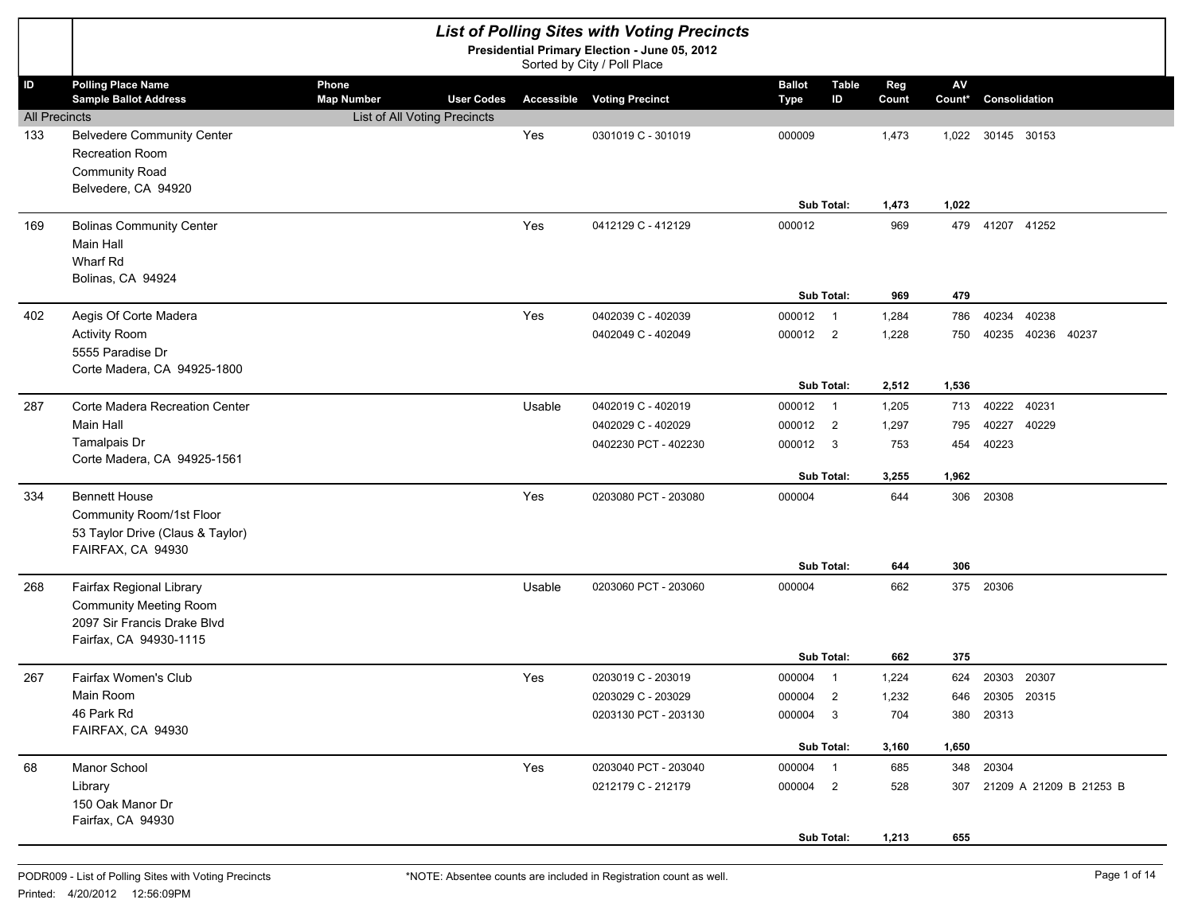|                             | <b>List of Polling Sites with Voting Precincts</b><br>Presidential Primary Election - June 05, 2012<br>Sorted by City / Poll Place |                              |                   |                      |                                   |               |                                  |       |               |                 |       |                         |
|-----------------------------|------------------------------------------------------------------------------------------------------------------------------------|------------------------------|-------------------|----------------------|-----------------------------------|---------------|----------------------------------|-------|---------------|-----------------|-------|-------------------------|
| ID                          | <b>Polling Place Name</b>                                                                                                          | Phone                        |                   |                      |                                   | <b>Ballot</b> | <b>Table</b>                     | Reg   | $\mathsf{AV}$ |                 |       |                         |
|                             | <b>Sample Ballot Address</b>                                                                                                       | <b>Map Number</b>            | <b>User Codes</b> |                      | <b>Accessible Voting Precinct</b> | <b>Type</b>   | ID                               | Count | Count*        | Consolidation   |       |                         |
| <b>All Precincts</b><br>133 | <b>Belvedere Community Center</b>                                                                                                  | List of All Voting Precincts |                   | Yes                  | 0301019 C - 301019                | 000009        |                                  | 1,473 | 1,022         | 30145 30153     |       |                         |
|                             | Recreation Room                                                                                                                    |                              |                   |                      |                                   |               |                                  |       |               |                 |       |                         |
|                             | <b>Community Road</b>                                                                                                              |                              |                   |                      |                                   |               |                                  |       |               |                 |       |                         |
|                             | Belvedere, CA 94920                                                                                                                |                              |                   |                      |                                   |               |                                  |       |               |                 |       |                         |
|                             |                                                                                                                                    |                              |                   |                      |                                   | Sub Total:    |                                  | 1,473 | 1,022         |                 |       |                         |
| 169                         | <b>Bolinas Community Center</b>                                                                                                    |                              |                   | Yes                  | 0412129 C - 412129                | 000012        |                                  | 969   |               | 479 41207 41252 |       |                         |
|                             | <b>Main Hall</b>                                                                                                                   |                              |                   |                      |                                   |               |                                  |       |               |                 |       |                         |
|                             | Wharf Rd<br>Bolinas, CA 94924                                                                                                      |                              |                   |                      |                                   |               |                                  |       |               |                 |       |                         |
|                             |                                                                                                                                    |                              |                   |                      |                                   | Sub Total:    |                                  | 969   | 479           |                 |       |                         |
| 402                         | Aegis Of Corte Madera                                                                                                              |                              |                   | Yes                  | 0402039 C - 402039                | 000012        | $\overline{1}$                   | 1,284 | 786           | 40234           | 40238 |                         |
|                             | <b>Activity Room</b>                                                                                                               |                              |                   |                      | 0402049 C - 402049                | 000012 2      |                                  | 1,228 | 750           | 40235           | 40236 | 40237                   |
|                             | 5555 Paradise Dr                                                                                                                   |                              |                   |                      |                                   |               |                                  |       |               |                 |       |                         |
|                             | Corte Madera, CA 94925-1800                                                                                                        |                              |                   |                      |                                   |               |                                  |       |               |                 |       |                         |
|                             |                                                                                                                                    |                              |                   |                      |                                   | Sub Total:    |                                  | 2,512 | 1,536         |                 |       |                         |
| 287                         | Corte Madera Recreation Center<br><b>Main Hall</b>                                                                                 |                              |                   | Usable               | 0402019 C - 402019                | 000012        | $\overline{1}$<br>$\overline{2}$ | 1,205 | 713           | 40222           | 40231 |                         |
|                             | Tamalpais Dr                                                                                                                       |                              |                   |                      | 0402029 C - 402029                | 000012        |                                  | 1,297 | 795           | 40227           | 40229 |                         |
|                             | Corte Madera, CA 94925-1561                                                                                                        |                              |                   |                      | 0402230 PCT - 402230              | 000012        | 3                                | 753   | 454           | 40223           |       |                         |
|                             |                                                                                                                                    |                              |                   |                      |                                   | Sub Total:    |                                  | 3,255 | 1,962         |                 |       |                         |
| 334                         | <b>Bennett House</b>                                                                                                               |                              |                   | Yes                  | 0203080 PCT - 203080              | 000004        |                                  | 644   | 306           | 20308           |       |                         |
|                             | Community Room/1st Floor                                                                                                           |                              |                   |                      |                                   |               |                                  |       |               |                 |       |                         |
|                             | 53 Taylor Drive (Claus & Taylor)                                                                                                   |                              |                   |                      |                                   |               |                                  |       |               |                 |       |                         |
|                             | FAIRFAX, CA 94930                                                                                                                  |                              |                   |                      |                                   | Sub Total:    |                                  | 644   | 306           |                 |       |                         |
| 268                         | Fairfax Regional Library                                                                                                           |                              |                   | Usable               | 0203060 PCT - 203060              | 000004        |                                  | 662   |               | 375 20306       |       |                         |
|                             | <b>Community Meeting Room</b>                                                                                                      |                              |                   |                      |                                   |               |                                  |       |               |                 |       |                         |
|                             | 2097 Sir Francis Drake Blvd                                                                                                        |                              |                   |                      |                                   |               |                                  |       |               |                 |       |                         |
|                             | Fairfax, CA 94930-1115                                                                                                             |                              |                   |                      |                                   |               |                                  |       |               |                 |       |                         |
|                             |                                                                                                                                    |                              |                   |                      |                                   | Sub Total:    |                                  | 662   | 375           |                 |       |                         |
| 267                         | Fairfax Women's Club                                                                                                               |                              |                   | Yes                  | 0203019 C - 203019                | 000004        | $\overline{1}$                   | 1,224 | 624           | 20303 20307     |       |                         |
|                             | Main Room                                                                                                                          |                              |                   |                      | 0203029 C - 203029                | 000004        | $\overline{2}$                   | 1,232 | 646           | 20305 20315     |       |                         |
|                             | 46 Park Rd<br>FAIRFAX, CA 94930                                                                                                    |                              |                   | 0203130 PCT - 203130 | 000004 3                          |               | 704                              | 380   | 20313         |                 |       |                         |
|                             |                                                                                                                                    |                              |                   |                      |                                   | Sub Total:    |                                  | 3,160 | 1,650         |                 |       |                         |
| 68                          | Manor School                                                                                                                       |                              |                   | Yes                  | 0203040 PCT - 203040              | 000004 1      |                                  | 685   |               | 348 20304       |       |                         |
|                             | Library                                                                                                                            |                              |                   |                      | 0212179 C - 212179                | 000004 2      |                                  | 528   | 307           |                 |       | 21209 A 21209 B 21253 B |
|                             | 150 Oak Manor Dr                                                                                                                   |                              |                   |                      |                                   |               |                                  |       |               |                 |       |                         |
|                             | Fairfax, CA 94930                                                                                                                  |                              |                   |                      |                                   |               |                                  |       |               |                 |       |                         |
|                             |                                                                                                                                    |                              |                   |                      |                                   | Sub Total:    |                                  | 1,213 | 655           |                 |       |                         |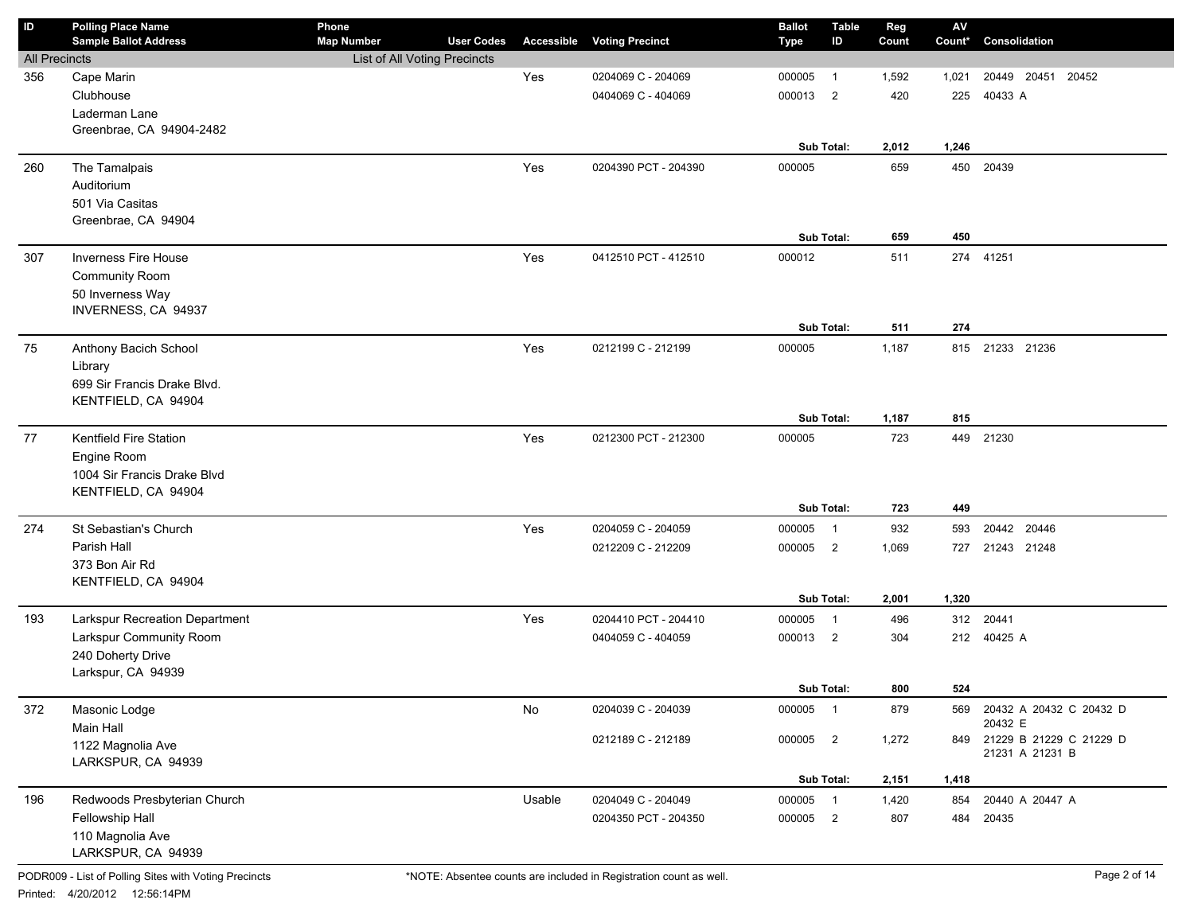| <b>Polling Place Name</b> | Phone                                                                                                                                                                                                                                                                                                                                                                                                                                                                                                                                                                                                                                                                                                                                                                                                           |                   |                                                          |                                                                             | <b>Ballot</b>                                                                                                                                                                                                                                                                                                                                        | <b>Table</b>                                                                         | Reg                                                                                                                                                                                                                                                                | $\mathsf{AV}$                                                                                                                                                                     |                                                                                                                         |                                                                                                                                                                                                                                                                       |
|---------------------------|-----------------------------------------------------------------------------------------------------------------------------------------------------------------------------------------------------------------------------------------------------------------------------------------------------------------------------------------------------------------------------------------------------------------------------------------------------------------------------------------------------------------------------------------------------------------------------------------------------------------------------------------------------------------------------------------------------------------------------------------------------------------------------------------------------------------|-------------------|----------------------------------------------------------|-----------------------------------------------------------------------------|------------------------------------------------------------------------------------------------------------------------------------------------------------------------------------------------------------------------------------------------------------------------------------------------------------------------------------------------------|--------------------------------------------------------------------------------------|--------------------------------------------------------------------------------------------------------------------------------------------------------------------------------------------------------------------------------------------------------------------|-----------------------------------------------------------------------------------------------------------------------------------------------------------------------------------|-------------------------------------------------------------------------------------------------------------------------|-----------------------------------------------------------------------------------------------------------------------------------------------------------------------------------------------------------------------------------------------------------------------|
|                           |                                                                                                                                                                                                                                                                                                                                                                                                                                                                                                                                                                                                                                                                                                                                                                                                                 |                   |                                                          |                                                                             |                                                                                                                                                                                                                                                                                                                                                      |                                                                                      |                                                                                                                                                                                                                                                                    |                                                                                                                                                                                   |                                                                                                                         |                                                                                                                                                                                                                                                                       |
|                           |                                                                                                                                                                                                                                                                                                                                                                                                                                                                                                                                                                                                                                                                                                                                                                                                                 |                   |                                                          |                                                                             |                                                                                                                                                                                                                                                                                                                                                      |                                                                                      |                                                                                                                                                                                                                                                                    |                                                                                                                                                                                   |                                                                                                                         |                                                                                                                                                                                                                                                                       |
|                           |                                                                                                                                                                                                                                                                                                                                                                                                                                                                                                                                                                                                                                                                                                                                                                                                                 |                   |                                                          |                                                                             |                                                                                                                                                                                                                                                                                                                                                      |                                                                                      |                                                                                                                                                                                                                                                                    |                                                                                                                                                                                   |                                                                                                                         | 20452                                                                                                                                                                                                                                                                 |
|                           |                                                                                                                                                                                                                                                                                                                                                                                                                                                                                                                                                                                                                                                                                                                                                                                                                 |                   |                                                          |                                                                             |                                                                                                                                                                                                                                                                                                                                                      |                                                                                      |                                                                                                                                                                                                                                                                    |                                                                                                                                                                                   |                                                                                                                         |                                                                                                                                                                                                                                                                       |
|                           |                                                                                                                                                                                                                                                                                                                                                                                                                                                                                                                                                                                                                                                                                                                                                                                                                 |                   |                                                          |                                                                             |                                                                                                                                                                                                                                                                                                                                                      |                                                                                      |                                                                                                                                                                                                                                                                    |                                                                                                                                                                                   |                                                                                                                         |                                                                                                                                                                                                                                                                       |
|                           |                                                                                                                                                                                                                                                                                                                                                                                                                                                                                                                                                                                                                                                                                                                                                                                                                 |                   |                                                          |                                                                             |                                                                                                                                                                                                                                                                                                                                                      |                                                                                      |                                                                                                                                                                                                                                                                    |                                                                                                                                                                                   |                                                                                                                         |                                                                                                                                                                                                                                                                       |
|                           |                                                                                                                                                                                                                                                                                                                                                                                                                                                                                                                                                                                                                                                                                                                                                                                                                 |                   |                                                          |                                                                             |                                                                                                                                                                                                                                                                                                                                                      |                                                                                      |                                                                                                                                                                                                                                                                    |                                                                                                                                                                                   |                                                                                                                         |                                                                                                                                                                                                                                                                       |
|                           |                                                                                                                                                                                                                                                                                                                                                                                                                                                                                                                                                                                                                                                                                                                                                                                                                 |                   |                                                          |                                                                             |                                                                                                                                                                                                                                                                                                                                                      |                                                                                      |                                                                                                                                                                                                                                                                    |                                                                                                                                                                                   |                                                                                                                         |                                                                                                                                                                                                                                                                       |
|                           |                                                                                                                                                                                                                                                                                                                                                                                                                                                                                                                                                                                                                                                                                                                                                                                                                 |                   |                                                          |                                                                             |                                                                                                                                                                                                                                                                                                                                                      |                                                                                      |                                                                                                                                                                                                                                                                    |                                                                                                                                                                                   |                                                                                                                         |                                                                                                                                                                                                                                                                       |
|                           |                                                                                                                                                                                                                                                                                                                                                                                                                                                                                                                                                                                                                                                                                                                                                                                                                 |                   |                                                          |                                                                             |                                                                                                                                                                                                                                                                                                                                                      |                                                                                      |                                                                                                                                                                                                                                                                    |                                                                                                                                                                                   |                                                                                                                         |                                                                                                                                                                                                                                                                       |
|                           |                                                                                                                                                                                                                                                                                                                                                                                                                                                                                                                                                                                                                                                                                                                                                                                                                 |                   |                                                          |                                                                             |                                                                                                                                                                                                                                                                                                                                                      |                                                                                      |                                                                                                                                                                                                                                                                    |                                                                                                                                                                                   |                                                                                                                         |                                                                                                                                                                                                                                                                       |
|                           |                                                                                                                                                                                                                                                                                                                                                                                                                                                                                                                                                                                                                                                                                                                                                                                                                 |                   |                                                          |                                                                             |                                                                                                                                                                                                                                                                                                                                                      |                                                                                      |                                                                                                                                                                                                                                                                    |                                                                                                                                                                                   |                                                                                                                         |                                                                                                                                                                                                                                                                       |
|                           |                                                                                                                                                                                                                                                                                                                                                                                                                                                                                                                                                                                                                                                                                                                                                                                                                 |                   |                                                          |                                                                             |                                                                                                                                                                                                                                                                                                                                                      |                                                                                      |                                                                                                                                                                                                                                                                    |                                                                                                                                                                                   |                                                                                                                         |                                                                                                                                                                                                                                                                       |
|                           |                                                                                                                                                                                                                                                                                                                                                                                                                                                                                                                                                                                                                                                                                                                                                                                                                 |                   |                                                          |                                                                             |                                                                                                                                                                                                                                                                                                                                                      |                                                                                      |                                                                                                                                                                                                                                                                    |                                                                                                                                                                                   |                                                                                                                         |                                                                                                                                                                                                                                                                       |
|                           |                                                                                                                                                                                                                                                                                                                                                                                                                                                                                                                                                                                                                                                                                                                                                                                                                 |                   |                                                          |                                                                             |                                                                                                                                                                                                                                                                                                                                                      |                                                                                      |                                                                                                                                                                                                                                                                    |                                                                                                                                                                                   |                                                                                                                         |                                                                                                                                                                                                                                                                       |
|                           |                                                                                                                                                                                                                                                                                                                                                                                                                                                                                                                                                                                                                                                                                                                                                                                                                 |                   |                                                          |                                                                             |                                                                                                                                                                                                                                                                                                                                                      |                                                                                      |                                                                                                                                                                                                                                                                    |                                                                                                                                                                                   |                                                                                                                         |                                                                                                                                                                                                                                                                       |
|                           |                                                                                                                                                                                                                                                                                                                                                                                                                                                                                                                                                                                                                                                                                                                                                                                                                 |                   |                                                          |                                                                             |                                                                                                                                                                                                                                                                                                                                                      |                                                                                      |                                                                                                                                                                                                                                                                    |                                                                                                                                                                                   |                                                                                                                         |                                                                                                                                                                                                                                                                       |
|                           |                                                                                                                                                                                                                                                                                                                                                                                                                                                                                                                                                                                                                                                                                                                                                                                                                 |                   |                                                          |                                                                             |                                                                                                                                                                                                                                                                                                                                                      |                                                                                      |                                                                                                                                                                                                                                                                    |                                                                                                                                                                                   |                                                                                                                         |                                                                                                                                                                                                                                                                       |
|                           |                                                                                                                                                                                                                                                                                                                                                                                                                                                                                                                                                                                                                                                                                                                                                                                                                 |                   |                                                          |                                                                             |                                                                                                                                                                                                                                                                                                                                                      |                                                                                      |                                                                                                                                                                                                                                                                    |                                                                                                                                                                                   |                                                                                                                         |                                                                                                                                                                                                                                                                       |
|                           |                                                                                                                                                                                                                                                                                                                                                                                                                                                                                                                                                                                                                                                                                                                                                                                                                 |                   |                                                          |                                                                             |                                                                                                                                                                                                                                                                                                                                                      |                                                                                      |                                                                                                                                                                                                                                                                    |                                                                                                                                                                                   |                                                                                                                         |                                                                                                                                                                                                                                                                       |
|                           |                                                                                                                                                                                                                                                                                                                                                                                                                                                                                                                                                                                                                                                                                                                                                                                                                 |                   |                                                          |                                                                             |                                                                                                                                                                                                                                                                                                                                                      |                                                                                      |                                                                                                                                                                                                                                                                    |                                                                                                                                                                                   |                                                                                                                         |                                                                                                                                                                                                                                                                       |
|                           |                                                                                                                                                                                                                                                                                                                                                                                                                                                                                                                                                                                                                                                                                                                                                                                                                 |                   |                                                          |                                                                             |                                                                                                                                                                                                                                                                                                                                                      |                                                                                      |                                                                                                                                                                                                                                                                    |                                                                                                                                                                                   |                                                                                                                         |                                                                                                                                                                                                                                                                       |
|                           |                                                                                                                                                                                                                                                                                                                                                                                                                                                                                                                                                                                                                                                                                                                                                                                                                 |                   |                                                          |                                                                             |                                                                                                                                                                                                                                                                                                                                                      |                                                                                      |                                                                                                                                                                                                                                                                    |                                                                                                                                                                                   |                                                                                                                         |                                                                                                                                                                                                                                                                       |
|                           |                                                                                                                                                                                                                                                                                                                                                                                                                                                                                                                                                                                                                                                                                                                                                                                                                 |                   |                                                          |                                                                             |                                                                                                                                                                                                                                                                                                                                                      |                                                                                      |                                                                                                                                                                                                                                                                    |                                                                                                                                                                                   |                                                                                                                         |                                                                                                                                                                                                                                                                       |
|                           |                                                                                                                                                                                                                                                                                                                                                                                                                                                                                                                                                                                                                                                                                                                                                                                                                 |                   |                                                          |                                                                             |                                                                                                                                                                                                                                                                                                                                                      |                                                                                      |                                                                                                                                                                                                                                                                    |                                                                                                                                                                                   |                                                                                                                         |                                                                                                                                                                                                                                                                       |
|                           |                                                                                                                                                                                                                                                                                                                                                                                                                                                                                                                                                                                                                                                                                                                                                                                                                 |                   |                                                          |                                                                             |                                                                                                                                                                                                                                                                                                                                                      |                                                                                      |                                                                                                                                                                                                                                                                    |                                                                                                                                                                                   |                                                                                                                         |                                                                                                                                                                                                                                                                       |
|                           |                                                                                                                                                                                                                                                                                                                                                                                                                                                                                                                                                                                                                                                                                                                                                                                                                 |                   |                                                          |                                                                             |                                                                                                                                                                                                                                                                                                                                                      |                                                                                      |                                                                                                                                                                                                                                                                    |                                                                                                                                                                                   |                                                                                                                         |                                                                                                                                                                                                                                                                       |
|                           |                                                                                                                                                                                                                                                                                                                                                                                                                                                                                                                                                                                                                                                                                                                                                                                                                 |                   |                                                          |                                                                             |                                                                                                                                                                                                                                                                                                                                                      |                                                                                      |                                                                                                                                                                                                                                                                    |                                                                                                                                                                                   |                                                                                                                         |                                                                                                                                                                                                                                                                       |
|                           |                                                                                                                                                                                                                                                                                                                                                                                                                                                                                                                                                                                                                                                                                                                                                                                                                 |                   |                                                          |                                                                             |                                                                                                                                                                                                                                                                                                                                                      |                                                                                      |                                                                                                                                                                                                                                                                    |                                                                                                                                                                                   |                                                                                                                         |                                                                                                                                                                                                                                                                       |
|                           |                                                                                                                                                                                                                                                                                                                                                                                                                                                                                                                                                                                                                                                                                                                                                                                                                 |                   |                                                          |                                                                             |                                                                                                                                                                                                                                                                                                                                                      |                                                                                      |                                                                                                                                                                                                                                                                    |                                                                                                                                                                                   |                                                                                                                         |                                                                                                                                                                                                                                                                       |
|                           |                                                                                                                                                                                                                                                                                                                                                                                                                                                                                                                                                                                                                                                                                                                                                                                                                 |                   |                                                          |                                                                             |                                                                                                                                                                                                                                                                                                                                                      |                                                                                      |                                                                                                                                                                                                                                                                    |                                                                                                                                                                                   |                                                                                                                         |                                                                                                                                                                                                                                                                       |
|                           |                                                                                                                                                                                                                                                                                                                                                                                                                                                                                                                                                                                                                                                                                                                                                                                                                 |                   |                                                          |                                                                             |                                                                                                                                                                                                                                                                                                                                                      |                                                                                      |                                                                                                                                                                                                                                                                    |                                                                                                                                                                                   |                                                                                                                         |                                                                                                                                                                                                                                                                       |
|                           |                                                                                                                                                                                                                                                                                                                                                                                                                                                                                                                                                                                                                                                                                                                                                                                                                 |                   |                                                          |                                                                             |                                                                                                                                                                                                                                                                                                                                                      |                                                                                      |                                                                                                                                                                                                                                                                    |                                                                                                                                                                                   |                                                                                                                         |                                                                                                                                                                                                                                                                       |
|                           |                                                                                                                                                                                                                                                                                                                                                                                                                                                                                                                                                                                                                                                                                                                                                                                                                 |                   |                                                          |                                                                             |                                                                                                                                                                                                                                                                                                                                                      |                                                                                      |                                                                                                                                                                                                                                                                    |                                                                                                                                                                                   |                                                                                                                         |                                                                                                                                                                                                                                                                       |
|                           |                                                                                                                                                                                                                                                                                                                                                                                                                                                                                                                                                                                                                                                                                                                                                                                                                 |                   |                                                          |                                                                             |                                                                                                                                                                                                                                                                                                                                                      |                                                                                      |                                                                                                                                                                                                                                                                    |                                                                                                                                                                                   |                                                                                                                         |                                                                                                                                                                                                                                                                       |
|                           |                                                                                                                                                                                                                                                                                                                                                                                                                                                                                                                                                                                                                                                                                                                                                                                                                 |                   |                                                          |                                                                             |                                                                                                                                                                                                                                                                                                                                                      |                                                                                      |                                                                                                                                                                                                                                                                    |                                                                                                                                                                                   |                                                                                                                         |                                                                                                                                                                                                                                                                       |
|                           |                                                                                                                                                                                                                                                                                                                                                                                                                                                                                                                                                                                                                                                                                                                                                                                                                 |                   |                                                          |                                                                             |                                                                                                                                                                                                                                                                                                                                                      |                                                                                      |                                                                                                                                                                                                                                                                    |                                                                                                                                                                                   |                                                                                                                         |                                                                                                                                                                                                                                                                       |
|                           |                                                                                                                                                                                                                                                                                                                                                                                                                                                                                                                                                                                                                                                                                                                                                                                                                 |                   |                                                          |                                                                             |                                                                                                                                                                                                                                                                                                                                                      |                                                                                      |                                                                                                                                                                                                                                                                    |                                                                                                                                                                                   |                                                                                                                         |                                                                                                                                                                                                                                                                       |
|                           |                                                                                                                                                                                                                                                                                                                                                                                                                                                                                                                                                                                                                                                                                                                                                                                                                 |                   |                                                          |                                                                             |                                                                                                                                                                                                                                                                                                                                                      |                                                                                      |                                                                                                                                                                                                                                                                    |                                                                                                                                                                                   |                                                                                                                         |                                                                                                                                                                                                                                                                       |
|                           |                                                                                                                                                                                                                                                                                                                                                                                                                                                                                                                                                                                                                                                                                                                                                                                                                 |                   |                                                          |                                                                             |                                                                                                                                                                                                                                                                                                                                                      |                                                                                      |                                                                                                                                                                                                                                                                    |                                                                                                                                                                                   | 21231 A 21231 B                                                                                                         |                                                                                                                                                                                                                                                                       |
|                           |                                                                                                                                                                                                                                                                                                                                                                                                                                                                                                                                                                                                                                                                                                                                                                                                                 |                   |                                                          |                                                                             |                                                                                                                                                                                                                                                                                                                                                      |                                                                                      |                                                                                                                                                                                                                                                                    |                                                                                                                                                                                   |                                                                                                                         |                                                                                                                                                                                                                                                                       |
|                           |                                                                                                                                                                                                                                                                                                                                                                                                                                                                                                                                                                                                                                                                                                                                                                                                                 |                   |                                                          |                                                                             |                                                                                                                                                                                                                                                                                                                                                      |                                                                                      |                                                                                                                                                                                                                                                                    |                                                                                                                                                                                   |                                                                                                                         |                                                                                                                                                                                                                                                                       |
|                           |                                                                                                                                                                                                                                                                                                                                                                                                                                                                                                                                                                                                                                                                                                                                                                                                                 |                   |                                                          |                                                                             |                                                                                                                                                                                                                                                                                                                                                      |                                                                                      |                                                                                                                                                                                                                                                                    |                                                                                                                                                                                   |                                                                                                                         |                                                                                                                                                                                                                                                                       |
|                           |                                                                                                                                                                                                                                                                                                                                                                                                                                                                                                                                                                                                                                                                                                                                                                                                                 |                   |                                                          |                                                                             |                                                                                                                                                                                                                                                                                                                                                      |                                                                                      |                                                                                                                                                                                                                                                                    |                                                                                                                                                                                   |                                                                                                                         |                                                                                                                                                                                                                                                                       |
| 110 Magnolia Ave          |                                                                                                                                                                                                                                                                                                                                                                                                                                                                                                                                                                                                                                                                                                                                                                                                                 |                   |                                                          |                                                                             |                                                                                                                                                                                                                                                                                                                                                      |                                                                                      |                                                                                                                                                                                                                                                                    |                                                                                                                                                                                   |                                                                                                                         |                                                                                                                                                                                                                                                                       |
|                           | <b>Sample Ballot Address</b><br><b>All Precincts</b><br>Cape Marin<br>Clubhouse<br>Laderman Lane<br>Greenbrae, CA 94904-2482<br>The Tamalpais<br>Auditorium<br>501 Via Casitas<br>Greenbrae, CA 94904<br><b>Inverness Fire House</b><br>Community Room<br>50 Inverness Way<br>INVERNESS, CA 94937<br>Anthony Bacich School<br>Library<br>699 Sir Francis Drake Blvd.<br>KENTFIELD, CA 94904<br>Kentfield Fire Station<br>Engine Room<br>1004 Sir Francis Drake Blvd<br>KENTFIELD, CA 94904<br>St Sebastian's Church<br>Parish Hall<br>373 Bon Air Rd<br>KENTFIELD, CA 94904<br>Larkspur Recreation Department<br>Larkspur Community Room<br>240 Doherty Drive<br>Larkspur, CA 94939<br>Masonic Lodge<br>Main Hall<br>1122 Magnolia Ave<br>LARKSPUR, CA 94939<br>Redwoods Presbyterian Church<br>Fellowship Hall | <b>Map Number</b> | <b>User Codes</b><br><b>List of All Voting Precincts</b> | Accessible<br>Yes<br>Yes<br>Yes<br>Yes<br>Yes<br>Yes<br>Yes<br>No<br>Usable | <b>Voting Precinct</b><br>0204069 C - 204069<br>0404069 C - 404069<br>0204390 PCT - 204390<br>0412510 PCT - 412510<br>0212199 C - 212199<br>0212300 PCT - 212300<br>0204059 C - 204059<br>0212209 C - 212209<br>0204410 PCT - 204410<br>0404059 C - 404059<br>0204039 C - 204039<br>0212189 C - 212189<br>0204049 C - 204049<br>0204350 PCT - 204350 | Type<br>000005<br>000013<br>000005<br>000012<br>000005<br>000005<br>000005<br>000005 | ID<br>$\overline{1}$<br>$\overline{2}$<br>Sub Total:<br>Sub Total:<br>Sub Total:<br>Sub Total:<br>Sub Total:<br>$\overline{1}$<br>000005 2<br>Sub Total:<br>$\overline{1}$<br>000013 2<br>Sub Total:<br>000005 1<br>000005 2<br>Sub Total:<br>000005 1<br>000005 2 | Count<br>1,592<br>420<br>2,012<br>659<br>659<br>511<br>511<br>1,187<br>1,187<br>723<br>723<br>932<br>1,069<br>2,001<br>496<br>304<br>800<br>879<br>1,272<br>2,151<br>1,420<br>807 | Count*<br>1,021<br>225<br>1,246<br>450<br>450<br>274<br>815<br>449<br>593<br>1,320<br>524<br>569<br>1,418<br>854<br>484 | Consolidation<br>20449 20451<br>40433 A<br>20439<br>41251<br>274<br>815 21233 21236<br>449 21230<br>20442 20446<br>21243 21248<br>727<br>20441<br>312<br>212 40425 A<br>20432 A 20432 C 20432 D<br>20432 E<br>849 21229 B 21229 C 21229 D<br>20440 A 20447 A<br>20435 |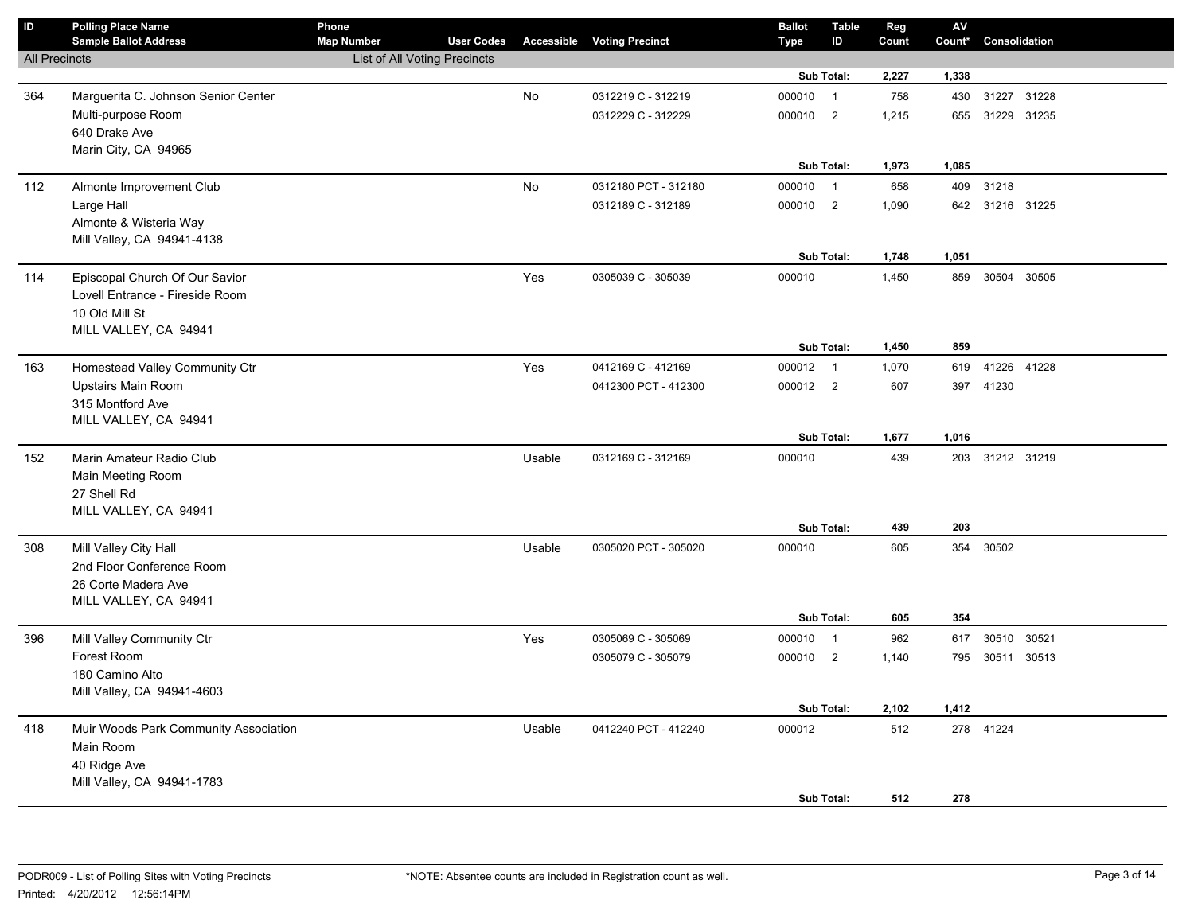| $\mathsf{ID}$        | <b>Polling Place Name</b><br><b>Sample Ballot Address</b> | Phone<br><b>Map Number</b>   | <b>User Codes</b> |        | <b>Accessible Voting Precinct</b> | <b>Ballot</b><br><b>Type</b> | <b>Table</b><br>ID       | Reg<br>Count | AV<br>Count* | Consolidation   |       |
|----------------------|-----------------------------------------------------------|------------------------------|-------------------|--------|-----------------------------------|------------------------------|--------------------------|--------------|--------------|-----------------|-------|
| <b>All Precincts</b> |                                                           | List of All Voting Precincts |                   |        |                                   |                              |                          |              |              |                 |       |
|                      |                                                           |                              |                   |        |                                   |                              | Sub Total:               | 2,227        | 1,338        |                 |       |
| 364                  | Marguerita C. Johnson Senior Center                       |                              |                   | No     | 0312219 C - 312219                | 000010                       | $\overline{1}$           | 758          | 430          | 31227 31228     |       |
|                      | Multi-purpose Room                                        |                              |                   |        | 0312229 C - 312229                | 000010                       | $\overline{2}$           | 1,215        | 655          | 31229 31235     |       |
|                      | 640 Drake Ave                                             |                              |                   |        |                                   |                              |                          |              |              |                 |       |
|                      | Marin City, CA 94965                                      |                              |                   |        |                                   |                              |                          |              |              |                 |       |
|                      |                                                           |                              |                   |        |                                   |                              | Sub Total:               | 1,973        | 1,085        |                 |       |
| 112                  | Almonte Improvement Club                                  |                              |                   | No     | 0312180 PCT - 312180              | 000010                       | $\overline{1}$           | 658          | 409          | 31218           |       |
|                      | Large Hall                                                |                              |                   |        | 0312189 C - 312189                | 000010 2                     |                          | 1,090        |              | 642 31216 31225 |       |
|                      | Almonte & Wisteria Way                                    |                              |                   |        |                                   |                              |                          |              |              |                 |       |
|                      | Mill Valley, CA 94941-4138                                |                              |                   |        |                                   |                              |                          |              |              |                 |       |
|                      |                                                           |                              |                   |        |                                   |                              | Sub Total:               | 1,748        | 1,051        |                 |       |
| 114                  | Episcopal Church Of Our Savior                            |                              |                   | Yes    | 0305039 C - 305039                | 000010                       |                          | 1,450        | 859          | 30504           | 30505 |
|                      | Lovell Entrance - Fireside Room                           |                              |                   |        |                                   |                              |                          |              |              |                 |       |
|                      | 10 Old Mill St<br>MILL VALLEY, CA 94941                   |                              |                   |        |                                   |                              |                          |              |              |                 |       |
|                      |                                                           |                              |                   |        |                                   |                              | Sub Total:               | 1,450        | 859          |                 |       |
| 163                  | Homestead Valley Community Ctr                            |                              |                   | Yes    | 0412169 C - 412169                | 000012                       | $\overline{1}$           | 1,070        | 619          | 41226 41228     |       |
|                      | Upstairs Main Room                                        |                              |                   |        | 0412300 PCT - 412300              | 000012 2                     |                          | 607          | 397          | 41230           |       |
|                      | 315 Montford Ave                                          |                              |                   |        |                                   |                              |                          |              |              |                 |       |
|                      | MILL VALLEY, CA 94941                                     |                              |                   |        |                                   |                              |                          |              |              |                 |       |
|                      |                                                           |                              |                   |        |                                   |                              | Sub Total:               | 1,677        | 1,016        |                 |       |
| 152                  | Marin Amateur Radio Club                                  |                              |                   | Usable | 0312169 C - 312169                | 000010                       |                          | 439          |              | 203 31212 31219 |       |
|                      | Main Meeting Room                                         |                              |                   |        |                                   |                              |                          |              |              |                 |       |
|                      | 27 Shell Rd                                               |                              |                   |        |                                   |                              |                          |              |              |                 |       |
|                      | MILL VALLEY, CA 94941                                     |                              |                   |        |                                   |                              |                          |              |              |                 |       |
|                      |                                                           |                              |                   |        |                                   |                              | Sub Total:               | 439          | 203          |                 |       |
| 308                  | Mill Valley City Hall                                     |                              |                   | Usable | 0305020 PCT - 305020              | 000010                       |                          | 605          | 354          | 30502           |       |
|                      | 2nd Floor Conference Room                                 |                              |                   |        |                                   |                              |                          |              |              |                 |       |
|                      | 26 Corte Madera Ave<br>MILL VALLEY, CA 94941              |                              |                   |        |                                   |                              |                          |              |              |                 |       |
|                      |                                                           |                              |                   |        |                                   |                              | Sub Total:               | 605          | 354          |                 |       |
| 396                  | Mill Valley Community Ctr                                 |                              |                   | Yes    | 0305069 C - 305069                | 000010                       | $\overline{1}$           | 962          | 617          | 30510 30521     |       |
|                      | Forest Room                                               |                              |                   |        | 0305079 C - 305079                | 000010                       | $\overline{\phantom{0}}$ | 1,140        | 795          | 30511 30513     |       |
|                      | 180 Camino Alto                                           |                              |                   |        |                                   |                              |                          |              |              |                 |       |
|                      | Mill Valley, CA 94941-4603                                |                              |                   |        |                                   |                              |                          |              |              |                 |       |
|                      |                                                           |                              |                   |        |                                   |                              | Sub Total:               | 2,102        | 1,412        |                 |       |
| 418                  | Muir Woods Park Community Association                     |                              |                   | Usable | 0412240 PCT - 412240              | 000012                       |                          | 512          |              | 278 41224       |       |
|                      | Main Room                                                 |                              |                   |        |                                   |                              |                          |              |              |                 |       |
|                      | 40 Ridge Ave                                              |                              |                   |        |                                   |                              |                          |              |              |                 |       |
|                      | Mill Valley, CA 94941-1783                                |                              |                   |        |                                   |                              |                          |              |              |                 |       |
|                      |                                                           |                              |                   |        |                                   |                              | Sub Total:               | 512          | 278          |                 |       |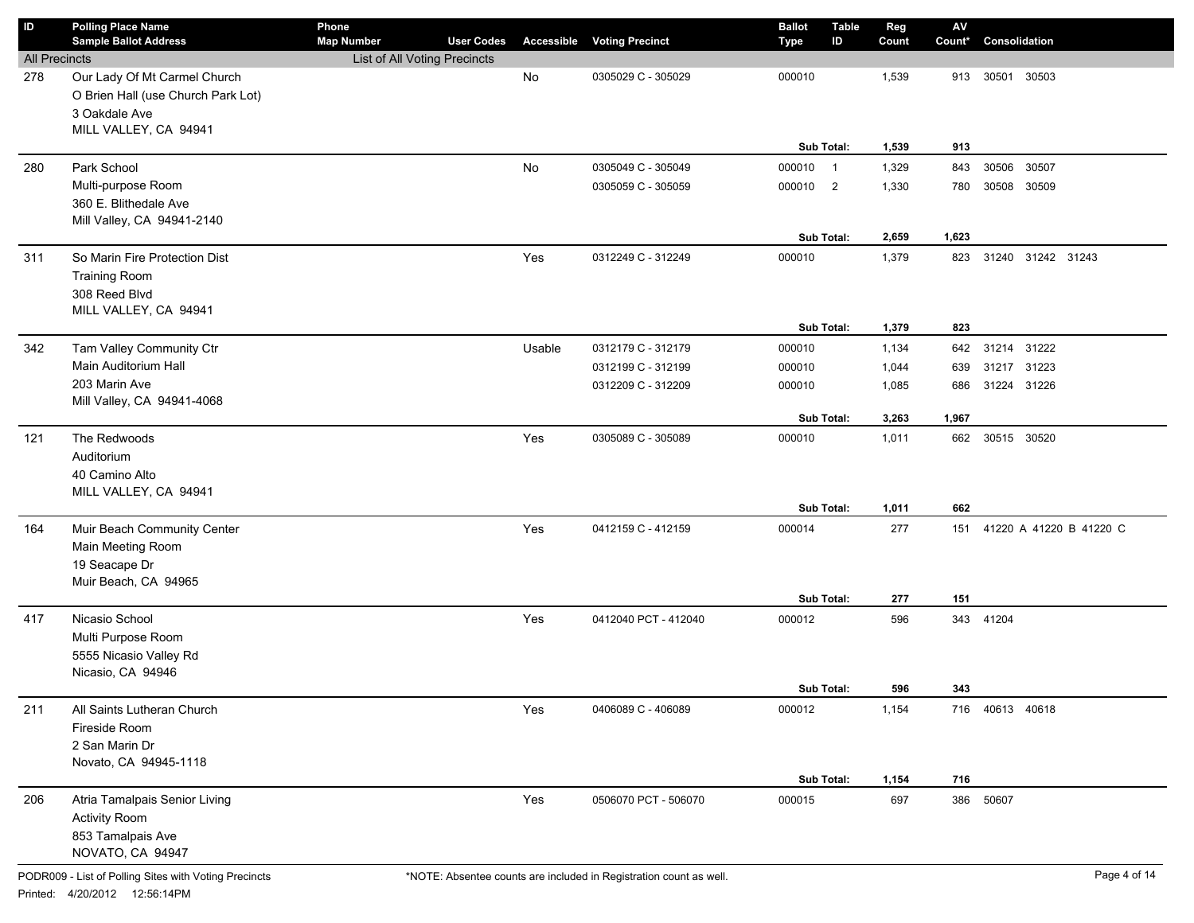| ID                   | <b>Polling Place Name</b><br><b>Sample Ballot Address</b> | Phone<br><b>Map Number</b>   | <b>User Codes</b> | Accessible | <b>Voting Precinct</b> | <b>Ballot</b> | <b>Table</b><br>ID | Reg<br>Count | $\mathsf{AV}$<br>Count* | Consolidation           |  |
|----------------------|-----------------------------------------------------------|------------------------------|-------------------|------------|------------------------|---------------|--------------------|--------------|-------------------------|-------------------------|--|
| <b>All Precincts</b> |                                                           | List of All Voting Precincts |                   |            |                        | <b>Type</b>   |                    |              |                         |                         |  |
| 278                  | Our Lady Of Mt Carmel Church                              |                              |                   | No         | 0305029 C - 305029     | 000010        |                    | 1,539        | 913                     | 30501<br>30503          |  |
|                      | O Brien Hall (use Church Park Lot)                        |                              |                   |            |                        |               |                    |              |                         |                         |  |
|                      | 3 Oakdale Ave                                             |                              |                   |            |                        |               |                    |              |                         |                         |  |
|                      | MILL VALLEY, CA 94941                                     |                              |                   |            |                        |               |                    |              |                         |                         |  |
|                      |                                                           |                              |                   |            |                        |               | Sub Total:         | 1,539        | 913                     |                         |  |
| 280                  | Park School                                               |                              |                   | No         | 0305049 C - 305049     | 000010 1      |                    | 1,329        | 843                     | 30506<br>30507          |  |
|                      | Multi-purpose Room                                        |                              |                   |            | 0305059 C - 305059     | 000010 2      |                    | 1,330        | 780                     | 30508<br>30509          |  |
|                      | 360 E. Blithedale Ave                                     |                              |                   |            |                        |               |                    |              |                         |                         |  |
|                      | Mill Valley, CA 94941-2140                                |                              |                   |            |                        |               |                    |              |                         |                         |  |
|                      |                                                           |                              |                   |            |                        |               | Sub Total:         | 2,659        | 1,623                   |                         |  |
| 311                  | So Marin Fire Protection Dist                             |                              |                   | Yes        | 0312249 C - 312249     | 000010        |                    | 1,379        | 823                     | 31240 31242 31243       |  |
|                      | <b>Training Room</b>                                      |                              |                   |            |                        |               |                    |              |                         |                         |  |
|                      | 308 Reed Blvd                                             |                              |                   |            |                        |               |                    |              |                         |                         |  |
|                      | MILL VALLEY, CA 94941                                     |                              |                   |            |                        |               |                    |              |                         |                         |  |
|                      |                                                           |                              |                   |            |                        |               | Sub Total:         | 1,379        | 823                     |                         |  |
| 342                  | Tam Valley Community Ctr                                  |                              |                   | Usable     | 0312179 C - 312179     | 000010        |                    | 1,134        | 642                     | 31214 31222             |  |
|                      | Main Auditorium Hall                                      |                              |                   |            | 0312199 C - 312199     | 000010        |                    | 1,044        | 639                     | 31217 31223             |  |
|                      | 203 Marin Ave<br>Mill Valley, CA 94941-4068               |                              |                   |            | 0312209 C - 312209     | 000010        |                    | 1,085        | 686                     | 31224 31226             |  |
|                      |                                                           |                              |                   |            |                        |               | Sub Total:         | 3,263        | 1,967                   |                         |  |
| 121                  | The Redwoods                                              |                              |                   | Yes        | 0305089 C - 305089     | 000010        |                    | 1,011        | 662                     | 30515 30520             |  |
|                      | Auditorium                                                |                              |                   |            |                        |               |                    |              |                         |                         |  |
|                      | 40 Camino Alto                                            |                              |                   |            |                        |               |                    |              |                         |                         |  |
|                      | MILL VALLEY, CA 94941                                     |                              |                   |            |                        |               |                    |              |                         |                         |  |
|                      |                                                           |                              |                   |            |                        |               | Sub Total:         | 1,011        | 662                     |                         |  |
| 164                  | Muir Beach Community Center                               |                              |                   | Yes        | 0412159 C - 412159     | 000014        |                    | 277          | 151                     | 41220 A 41220 B 41220 C |  |
|                      | Main Meeting Room                                         |                              |                   |            |                        |               |                    |              |                         |                         |  |
|                      | 19 Seacape Dr                                             |                              |                   |            |                        |               |                    |              |                         |                         |  |
|                      | Muir Beach, CA 94965                                      |                              |                   |            |                        |               |                    |              |                         |                         |  |
|                      |                                                           |                              |                   |            |                        |               | Sub Total:         | 277          | 151                     |                         |  |
| 417                  | Nicasio School                                            |                              |                   | Yes        | 0412040 PCT - 412040   | 000012        |                    | 596          |                         | 343 41204               |  |
|                      | Multi Purpose Room                                        |                              |                   |            |                        |               |                    |              |                         |                         |  |
|                      | 5555 Nicasio Valley Rd                                    |                              |                   |            |                        |               |                    |              |                         |                         |  |
|                      | Nicasio, CA 94946                                         |                              |                   |            |                        |               | Sub Total:         | 596          | 343                     |                         |  |
| 211                  | All Saints Lutheran Church                                |                              |                   | Yes        | 0406089 C - 406089     | 000012        |                    | 1,154        |                         | 716 40613 40618         |  |
|                      | Fireside Room                                             |                              |                   |            |                        |               |                    |              |                         |                         |  |
|                      | 2 San Marin Dr                                            |                              |                   |            |                        |               |                    |              |                         |                         |  |
|                      | Novato, CA 94945-1118                                     |                              |                   |            |                        |               |                    |              |                         |                         |  |
|                      |                                                           |                              |                   |            |                        |               | Sub Total:         | 1,154        | 716                     |                         |  |
| 206                  | Atria Tamalpais Senior Living                             |                              |                   | Yes        | 0506070 PCT - 506070   | 000015        |                    | 697          | 386                     | 50607                   |  |
|                      | <b>Activity Room</b>                                      |                              |                   |            |                        |               |                    |              |                         |                         |  |
|                      | 853 Tamalpais Ave                                         |                              |                   |            |                        |               |                    |              |                         |                         |  |
|                      | NOVATO, CA 94947                                          |                              |                   |            |                        |               |                    |              |                         |                         |  |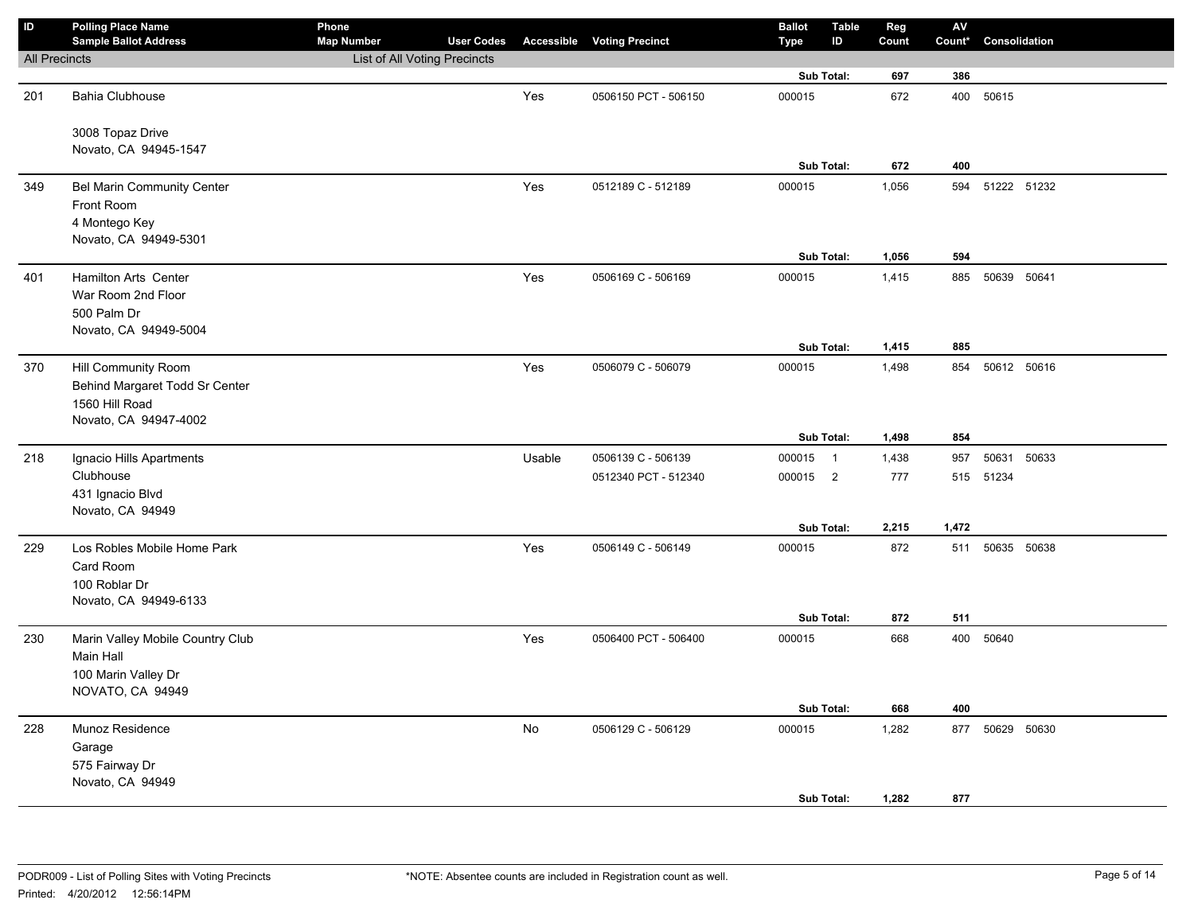| $\overline{D}$       | <b>Polling Place Name</b><br><b>Sample Ballot Address</b>                                               | Phone<br><b>Map Number</b>   | <b>User Codes</b> |        | <b>Accessible Voting Precinct</b> | <b>Ballot</b><br><b>Type</b> | <b>Table</b><br>ID | Reg<br>Count   | ${\sf AV}$<br>Count* | Consolidation |  |
|----------------------|---------------------------------------------------------------------------------------------------------|------------------------------|-------------------|--------|-----------------------------------|------------------------------|--------------------|----------------|----------------------|---------------|--|
| <b>All Precincts</b> |                                                                                                         | List of All Voting Precincts |                   |        |                                   |                              |                    |                |                      |               |  |
|                      |                                                                                                         |                              |                   |        |                                   |                              | Sub Total:         | 697            | 386                  |               |  |
| 201                  | <b>Bahia Clubhouse</b>                                                                                  |                              |                   | Yes    | 0506150 PCT - 506150              | 000015                       |                    | 672            | 400                  | 50615         |  |
|                      | 3008 Topaz Drive<br>Novato, CA 94945-1547                                                               |                              |                   |        |                                   |                              |                    |                |                      |               |  |
|                      |                                                                                                         |                              |                   |        |                                   |                              | Sub Total:         | 672            | 400                  |               |  |
| 349                  | Bel Marin Community Center<br>Front Room<br>4 Montego Key                                               |                              |                   | Yes    | 0512189 C - 512189                | 000015                       |                    | 1,056          | 594                  | 51222 51232   |  |
|                      | Novato, CA 94949-5301                                                                                   |                              |                   |        |                                   |                              |                    |                |                      |               |  |
|                      |                                                                                                         |                              |                   |        |                                   |                              | Sub Total:         | 1,056          | 594                  |               |  |
| 401                  | Hamilton Arts Center<br>War Room 2nd Floor<br>500 Palm Dr<br>Novato, CA 94949-5004                      |                              |                   | Yes    | 0506169 C - 506169                | 000015                       |                    | 1,415          | 885                  | 50639 50641   |  |
|                      |                                                                                                         |                              |                   |        |                                   |                              | Sub Total:         | 1,415          | 885                  |               |  |
| 370                  | <b>Hill Community Room</b><br>Behind Margaret Todd Sr Center<br>1560 Hill Road<br>Novato, CA 94947-4002 |                              |                   | Yes    | 0506079 C - 506079                | 000015                       |                    | 1,498          | 854                  | 50612 50616   |  |
|                      |                                                                                                         |                              |                   |        |                                   |                              | Sub Total:         | 1,498          | 854                  |               |  |
| 218                  | Ignacio Hills Apartments                                                                                |                              |                   | Usable | 0506139 C - 506139                | 000015 1                     |                    | 1,438          | 957                  | 50631 50633   |  |
|                      | Clubhouse<br>431 Ignacio Blvd<br>Novato, CA 94949                                                       |                              |                   |        | 0512340 PCT - 512340              | 000015 2                     |                    | 777            | 515                  | 51234         |  |
|                      |                                                                                                         |                              |                   |        |                                   |                              | Sub Total:         | 2,215          | 1,472                |               |  |
| 229                  | Los Robles Mobile Home Park<br>Card Room<br>100 Roblar Dr<br>Novato, CA 94949-6133                      |                              |                   | Yes    | 0506149 C - 506149                | 000015                       |                    | 872            | 511                  | 50635 50638   |  |
|                      |                                                                                                         |                              |                   |        |                                   |                              | Sub Total:         | 872            | 511                  |               |  |
| 230                  | Marin Valley Mobile Country Club<br>Main Hall<br>100 Marin Valley Dr<br>NOVATO, CA 94949                |                              |                   | Yes    | 0506400 PCT - 506400              | 000015                       |                    | 668            |                      | 400 50640     |  |
|                      |                                                                                                         |                              |                   |        |                                   |                              | Sub Total:         | 668            | 400                  |               |  |
| 228                  | Munoz Residence<br>Garage<br>575 Fairway Dr<br>Novato, CA 94949                                         |                              |                   | No     | 0506129 C - 506129                | 000015                       | Sub Total:         | 1,282<br>1,282 | 877<br>877           | 50629 50630   |  |
|                      |                                                                                                         |                              |                   |        |                                   |                              |                    |                |                      |               |  |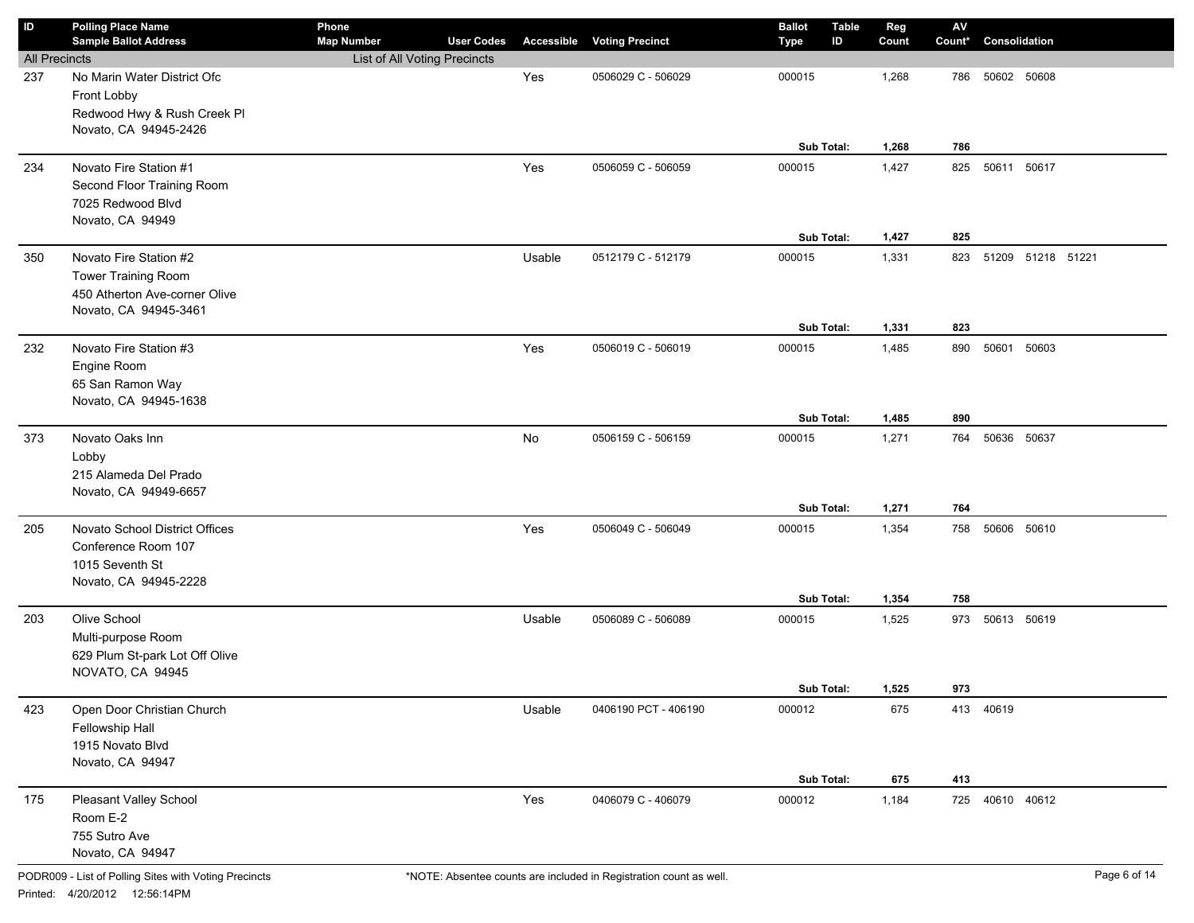| ID                   | <b>Polling Place Name</b>                                                                               | Phone<br><b>Map Number</b>   | <b>User Codes</b> |            |                        | <b>Ballot</b> | <b>Table</b><br>ID | Reg   | $\mathsf{A}\mathsf{V}$<br>Count* | Consolidation     |  |
|----------------------|---------------------------------------------------------------------------------------------------------|------------------------------|-------------------|------------|------------------------|---------------|--------------------|-------|----------------------------------|-------------------|--|
| <b>All Precincts</b> | <b>Sample Ballot Address</b>                                                                            | List of All Voting Precincts |                   | Accessible | <b>Voting Precinct</b> | Type          |                    | Count |                                  |                   |  |
| 237                  | No Marin Water District Ofc<br>Front Lobby                                                              |                              |                   | Yes        | 0506029 C - 506029     | 000015        |                    | 1,268 | 786                              | 50602 50608       |  |
|                      | Redwood Hwy & Rush Creek Pl<br>Novato, CA 94945-2426                                                    |                              |                   |            |                        |               | Sub Total:         | 1,268 | 786                              |                   |  |
| 234                  | Novato Fire Station #1<br>Second Floor Training Room<br>7025 Redwood Blvd<br>Novato, CA 94949           |                              |                   | Yes        | 0506059 C - 506059     | 000015        |                    | 1,427 | 825                              | 50611 50617       |  |
|                      |                                                                                                         |                              |                   |            |                        |               | Sub Total:         | 1,427 | 825                              |                   |  |
| 350                  | Novato Fire Station #2<br>Tower Training Room<br>450 Atherton Ave-corner Olive<br>Novato, CA 94945-3461 |                              |                   | Usable     | 0512179 C - 512179     | 000015        |                    | 1,331 | 823                              | 51209 51218 51221 |  |
|                      |                                                                                                         |                              |                   |            |                        |               | Sub Total:         | 1,331 | 823                              |                   |  |
| 232                  | Novato Fire Station #3<br>Engine Room<br>65 San Ramon Way<br>Novato, CA 94945-1638                      |                              |                   | Yes        | 0506019 C - 506019     | 000015        |                    | 1,485 | 890                              | 50601<br>50603    |  |
|                      |                                                                                                         |                              |                   |            |                        |               | Sub Total:         | 1,485 | 890                              |                   |  |
| 373                  | Novato Oaks Inn<br>Lobby<br>215 Alameda Del Prado<br>Novato, CA 94949-6657                              |                              |                   | No         | 0506159 C - 506159     | 000015        |                    | 1,271 | 764                              | 50636 50637       |  |
|                      |                                                                                                         |                              |                   |            |                        |               | Sub Total:         | 1,271 | 764                              |                   |  |
| 205                  | Novato School District Offices<br>Conference Room 107<br>1015 Seventh St<br>Novato, CA 94945-2228       |                              |                   | Yes        | 0506049 C - 506049     | 000015        |                    | 1,354 | 758                              | 50606 50610       |  |
|                      |                                                                                                         |                              |                   |            |                        |               | Sub Total:         | 1,354 | 758                              |                   |  |
| 203                  | Olive School<br>Multi-purpose Room<br>629 Plum St-park Lot Off Olive<br>NOVATO, CA 94945                |                              |                   | Usable     | 0506089 C - 506089     | 000015        |                    | 1,525 | 973                              | 50613 50619       |  |
|                      |                                                                                                         |                              |                   |            |                        |               | Sub Total:         | 1,525 | 973                              |                   |  |
| 423                  | Open Door Christian Church<br>Fellowship Hall<br>1915 Novato Blvd<br>Novato, CA 94947                   |                              |                   | Usable     | 0406190 PCT - 406190   | 000012        |                    | 675   |                                  | 413 40619         |  |
|                      |                                                                                                         |                              |                   |            |                        |               | Sub Total:         | 675   | 413                              |                   |  |
| 175                  | Pleasant Valley School<br>Room E-2<br>755 Sutro Ave<br>Novato, CA 94947                                 |                              |                   | Yes        | 0406079 C - 406079     | 000012        |                    | 1,184 |                                  | 725 40610 40612   |  |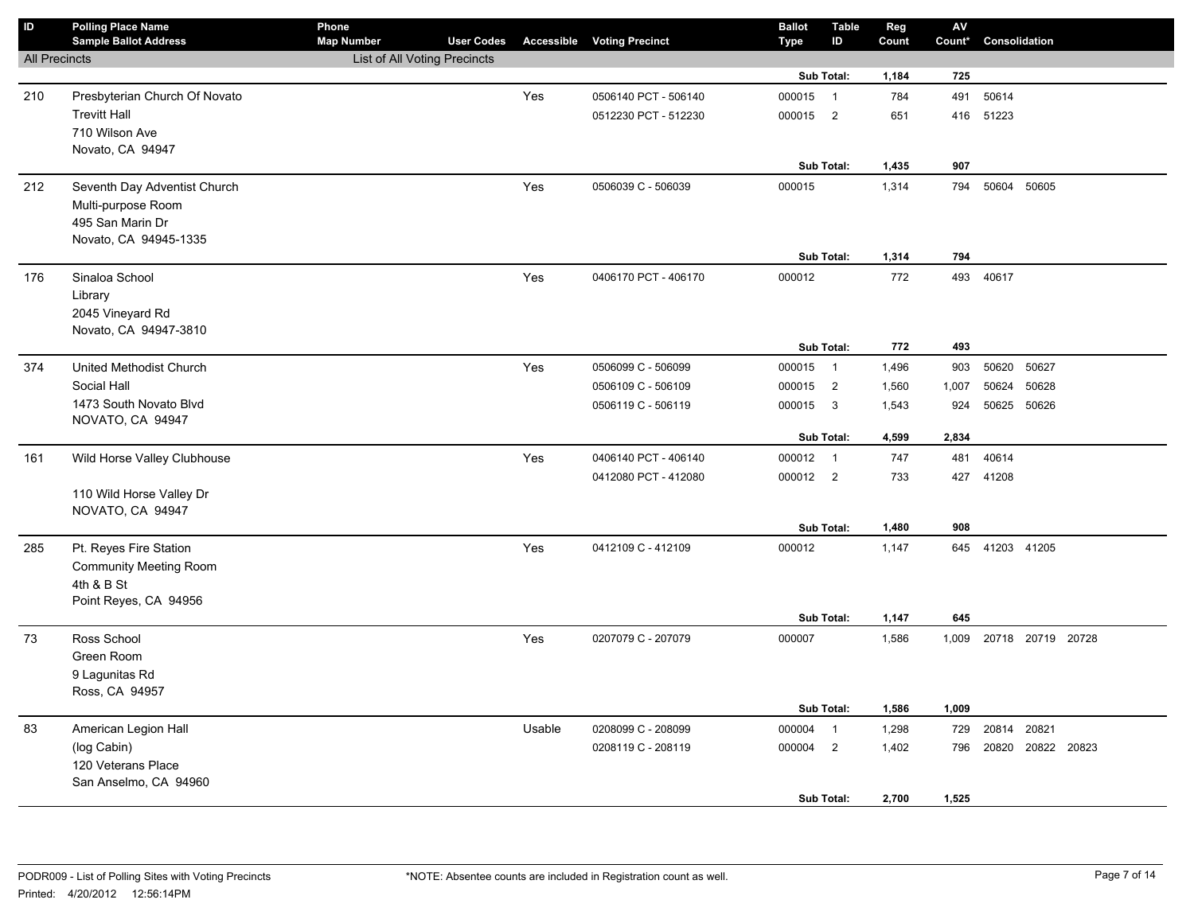| $\mathbf{D}$         | <b>Polling Place Name</b><br><b>Sample Ballot Address</b> | Phone<br><b>Map Number</b>          | <b>User Codes</b> |        | <b>Accessible Voting Precinct</b>        | <b>Ballot</b><br><b>Type</b> | <b>Table</b><br>ID       | Reg<br>Count   | $\mathsf{AV}$<br>Count* | Consolidation           |             |  |
|----------------------|-----------------------------------------------------------|-------------------------------------|-------------------|--------|------------------------------------------|------------------------------|--------------------------|----------------|-------------------------|-------------------------|-------------|--|
| <b>All Precincts</b> |                                                           | <b>List of All Voting Precincts</b> |                   |        |                                          |                              |                          |                |                         |                         |             |  |
|                      |                                                           |                                     |                   |        |                                          |                              | Sub Total:               | 1,184          | 725                     |                         |             |  |
| 210                  | Presbyterian Church Of Novato                             |                                     |                   | Yes    | 0506140 PCT - 506140                     | 000015                       | $\overline{1}$           | 784            | 491                     | 50614                   |             |  |
|                      | <b>Trevitt Hall</b>                                       |                                     |                   |        | 0512230 PCT - 512230                     | 000015                       | $\overline{\phantom{0}}$ | 651            | 416                     | 51223                   |             |  |
|                      | 710 Wilson Ave                                            |                                     |                   |        |                                          |                              |                          |                |                         |                         |             |  |
|                      | Novato, CA 94947                                          |                                     |                   |        |                                          |                              |                          |                |                         |                         |             |  |
|                      |                                                           |                                     |                   |        |                                          |                              | Sub Total:               | 1,435          | 907                     |                         |             |  |
| 212                  | Seventh Day Adventist Church                              |                                     |                   | Yes    | 0506039 C - 506039                       | 000015                       |                          | 1,314          | 794                     | 50604                   | 50605       |  |
|                      | Multi-purpose Room                                        |                                     |                   |        |                                          |                              |                          |                |                         |                         |             |  |
|                      | 495 San Marin Dr                                          |                                     |                   |        |                                          |                              |                          |                |                         |                         |             |  |
|                      | Novato, CA 94945-1335                                     |                                     |                   |        |                                          |                              | Sub Total:               | 1,314          | 794                     |                         |             |  |
| 176                  | Sinaloa School                                            |                                     |                   | Yes    | 0406170 PCT - 406170                     | 000012                       |                          | 772            | 493                     | 40617                   |             |  |
|                      | Library                                                   |                                     |                   |        |                                          |                              |                          |                |                         |                         |             |  |
|                      | 2045 Vineyard Rd                                          |                                     |                   |        |                                          |                              |                          |                |                         |                         |             |  |
|                      | Novato, CA 94947-3810                                     |                                     |                   |        |                                          |                              |                          |                |                         |                         |             |  |
|                      |                                                           |                                     |                   |        |                                          |                              | Sub Total:               | 772            | 493                     |                         |             |  |
| 374                  | United Methodist Church                                   |                                     |                   | Yes    | 0506099 C - 506099                       | 000015 1                     |                          | 1,496          | 903                     | 50620                   | 50627       |  |
|                      | Social Hall                                               |                                     |                   |        | 0506109 C - 506109                       | 000015                       | $\overline{2}$           | 1,560          | 1,007                   | 50624                   | 50628       |  |
|                      | 1473 South Novato Blvd                                    |                                     |                   |        | 0506119 C - 506119                       | 000015                       | $\overline{\mathbf{3}}$  | 1,543          | 924                     | 50625 50626             |             |  |
|                      | NOVATO, CA 94947                                          |                                     |                   |        |                                          |                              |                          |                |                         |                         |             |  |
|                      |                                                           |                                     |                   |        |                                          |                              | Sub Total:               | 4,599          | 2,834                   |                         |             |  |
| 161                  | Wild Horse Valley Clubhouse                               |                                     |                   | Yes    | 0406140 PCT - 406140                     | 000012 1                     |                          | 747            | 481                     | 40614                   |             |  |
|                      |                                                           |                                     |                   |        | 0412080 PCT - 412080                     | 000012 2                     |                          | 733            | 427                     | 41208                   |             |  |
|                      | 110 Wild Horse Valley Dr<br>NOVATO, CA 94947              |                                     |                   |        |                                          |                              |                          |                |                         |                         |             |  |
|                      |                                                           |                                     |                   |        |                                          |                              | Sub Total:               | 1,480          | 908                     |                         |             |  |
| 285                  | Pt. Reyes Fire Station                                    |                                     |                   | Yes    | 0412109 C - 412109                       | 000012                       |                          | 1,147          | 645                     | 41203 41205             |             |  |
|                      | <b>Community Meeting Room</b>                             |                                     |                   |        |                                          |                              |                          |                |                         |                         |             |  |
|                      | 4th & B St                                                |                                     |                   |        |                                          |                              |                          |                |                         |                         |             |  |
|                      | Point Reyes, CA 94956                                     |                                     |                   |        |                                          |                              |                          |                |                         |                         |             |  |
|                      |                                                           |                                     |                   |        |                                          |                              | Sub Total:               | 1,147          | 645                     |                         |             |  |
| 73                   | Ross School                                               |                                     |                   | Yes    | 0207079 C - 207079                       | 000007                       |                          | 1,586          |                         | 1,009 20718 20719 20728 |             |  |
|                      | Green Room                                                |                                     |                   |        |                                          |                              |                          |                |                         |                         |             |  |
|                      | 9 Lagunitas Rd                                            |                                     |                   |        |                                          |                              |                          |                |                         |                         |             |  |
|                      | Ross, CA 94957                                            |                                     |                   |        |                                          |                              | Sub Total:               |                |                         |                         |             |  |
|                      |                                                           |                                     |                   |        |                                          |                              | $\overline{1}$           | 1,586          | 1,009                   | 20814                   | 20821       |  |
| 83                   | American Legion Hall<br>(log Cabin)                       |                                     |                   | Usable | 0208099 C - 208099<br>0208119 C - 208119 | 000004<br>000004             | $\overline{2}$           | 1,298<br>1,402 | 729<br>796              |                         | 20822 20823 |  |
|                      | 120 Veterans Place                                        |                                     |                   |        |                                          |                              |                          |                |                         | 20820                   |             |  |
|                      | San Anselmo, CA 94960                                     |                                     |                   |        |                                          |                              |                          |                |                         |                         |             |  |
|                      |                                                           |                                     |                   |        |                                          |                              | Sub Total:               | 2,700          | 1,525                   |                         |             |  |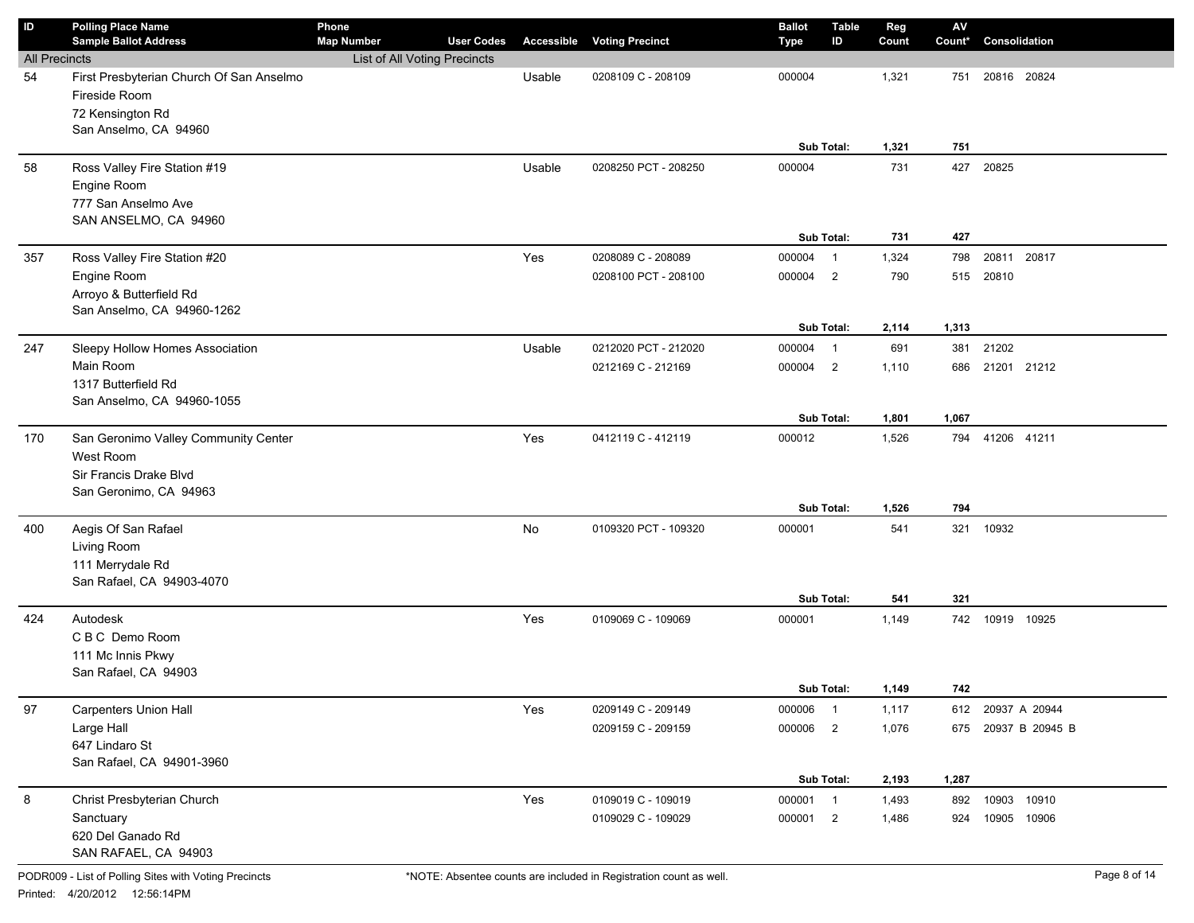| ID                   | <b>Polling Place Name</b>                                 | Phone                        |                   |        |                                   | <b>Ballot</b> | <b>Table</b>            | Reg   | $\mathsf{A}\mathsf{V}$ |                   |  |
|----------------------|-----------------------------------------------------------|------------------------------|-------------------|--------|-----------------------------------|---------------|-------------------------|-------|------------------------|-------------------|--|
|                      | <b>Sample Ballot Address</b>                              | <b>Map Number</b>            | <b>User Codes</b> |        | <b>Accessible Voting Precinct</b> | <b>Type</b>   | ID                      | Count | Count*                 | Consolidation     |  |
| <b>All Precincts</b> |                                                           | List of All Voting Precincts |                   |        |                                   |               |                         |       |                        |                   |  |
| 54                   | First Presbyterian Church Of San Anselmo<br>Fireside Room |                              |                   | Usable | 0208109 C - 208109                | 000004        |                         | 1,321 | 751                    | 20816 20824       |  |
|                      | 72 Kensington Rd                                          |                              |                   |        |                                   |               |                         |       |                        |                   |  |
|                      | San Anselmo, CA 94960                                     |                              |                   |        |                                   |               |                         |       |                        |                   |  |
|                      |                                                           |                              |                   |        |                                   |               | Sub Total:              | 1,321 | 751                    |                   |  |
| 58                   | Ross Valley Fire Station #19                              |                              |                   | Usable | 0208250 PCT - 208250              | 000004        |                         | 731   | 427                    | 20825             |  |
|                      | Engine Room                                               |                              |                   |        |                                   |               |                         |       |                        |                   |  |
|                      | 777 San Anselmo Ave                                       |                              |                   |        |                                   |               |                         |       |                        |                   |  |
|                      | SAN ANSELMO, CA 94960                                     |                              |                   |        |                                   |               |                         |       |                        |                   |  |
|                      |                                                           |                              |                   |        |                                   |               | Sub Total:              | 731   | 427                    |                   |  |
| 357                  | Ross Valley Fire Station #20                              |                              |                   | Yes    | 0208089 C - 208089                | 000004        | $\overline{1}$          | 1,324 | 798                    | 20811 20817       |  |
|                      | Engine Room                                               |                              |                   |        | 0208100 PCT - 208100              | 000004        | $\overline{\mathbf{2}}$ | 790   | 515                    | 20810             |  |
|                      | Arroyo & Butterfield Rd                                   |                              |                   |        |                                   |               |                         |       |                        |                   |  |
|                      | San Anselmo, CA 94960-1262                                |                              |                   |        |                                   |               |                         |       |                        |                   |  |
|                      |                                                           |                              |                   |        |                                   |               | Sub Total:              | 2,114 | 1,313                  |                   |  |
| 247                  | Sleepy Hollow Homes Association                           |                              |                   | Usable | 0212020 PCT - 212020              | 000004        | $\overline{1}$          | 691   | 381                    | 21202             |  |
|                      | Main Room                                                 |                              |                   |        | 0212169 C - 212169                | 000004        | $\overline{2}$          | 1,110 | 686                    | 21201 21212       |  |
|                      | 1317 Butterfield Rd<br>San Anselmo, CA 94960-1055         |                              |                   |        |                                   |               |                         |       |                        |                   |  |
|                      |                                                           |                              |                   |        |                                   |               | Sub Total:              | 1,801 | 1,067                  |                   |  |
| 170                  | San Geronimo Valley Community Center                      |                              |                   | Yes    | 0412119 C - 412119                | 000012        |                         | 1,526 | 794                    | 41206 41211       |  |
|                      | West Room                                                 |                              |                   |        |                                   |               |                         |       |                        |                   |  |
|                      | Sir Francis Drake Blvd                                    |                              |                   |        |                                   |               |                         |       |                        |                   |  |
|                      | San Geronimo, CA 94963                                    |                              |                   |        |                                   |               |                         |       |                        |                   |  |
|                      |                                                           |                              |                   |        |                                   |               | Sub Total:              | 1,526 | 794                    |                   |  |
| 400                  | Aegis Of San Rafael                                       |                              |                   | No     | 0109320 PCT - 109320              | 000001        |                         | 541   | 321                    | 10932             |  |
|                      | Living Room                                               |                              |                   |        |                                   |               |                         |       |                        |                   |  |
|                      | 111 Merrydale Rd                                          |                              |                   |        |                                   |               |                         |       |                        |                   |  |
|                      | San Rafael, CA 94903-4070                                 |                              |                   |        |                                   |               |                         |       |                        |                   |  |
|                      |                                                           |                              |                   |        |                                   |               | Sub Total:              | 541   | 321                    |                   |  |
| 424                  | Autodesk                                                  |                              |                   | Yes    | 0109069 C - 109069                | 000001        |                         | 1,149 |                        | 742 10919 10925   |  |
|                      | C B C Demo Room                                           |                              |                   |        |                                   |               |                         |       |                        |                   |  |
|                      | 111 Mc Innis Pkwy<br>San Rafael, CA 94903                 |                              |                   |        |                                   |               |                         |       |                        |                   |  |
|                      |                                                           |                              |                   |        |                                   |               | Sub Total:              | 1,149 | 742                    |                   |  |
| 97                   | <b>Carpenters Union Hall</b>                              |                              |                   | Yes    | 0209149 C - 209149                | 000006 1      |                         | 1,117 |                        | 612 20937 A 20944 |  |
|                      | Large Hall                                                |                              |                   |        | 0209159 C - 209159                | 000006 2      |                         | 1,076 | 675                    | 20937 B 20945 B   |  |
|                      | 647 Lindaro St                                            |                              |                   |        |                                   |               |                         |       |                        |                   |  |
|                      | San Rafael, CA 94901-3960                                 |                              |                   |        |                                   |               |                         |       |                        |                   |  |
|                      |                                                           |                              |                   |        |                                   |               | Sub Total:              | 2,193 | 1,287                  |                   |  |
| 8                    | Christ Presbyterian Church                                |                              |                   | Yes    | 0109019 C - 109019                | 000001 1      |                         | 1,493 | 892                    | 10903<br>10910    |  |
|                      | Sanctuary                                                 |                              |                   |        | 0109029 C - 109029                | 000001 2      |                         | 1,486 | 924                    | 10905 10906       |  |
|                      | 620 Del Ganado Rd                                         |                              |                   |        |                                   |               |                         |       |                        |                   |  |
|                      | SAN RAFAEL, CA 94903                                      |                              |                   |        |                                   |               |                         |       |                        |                   |  |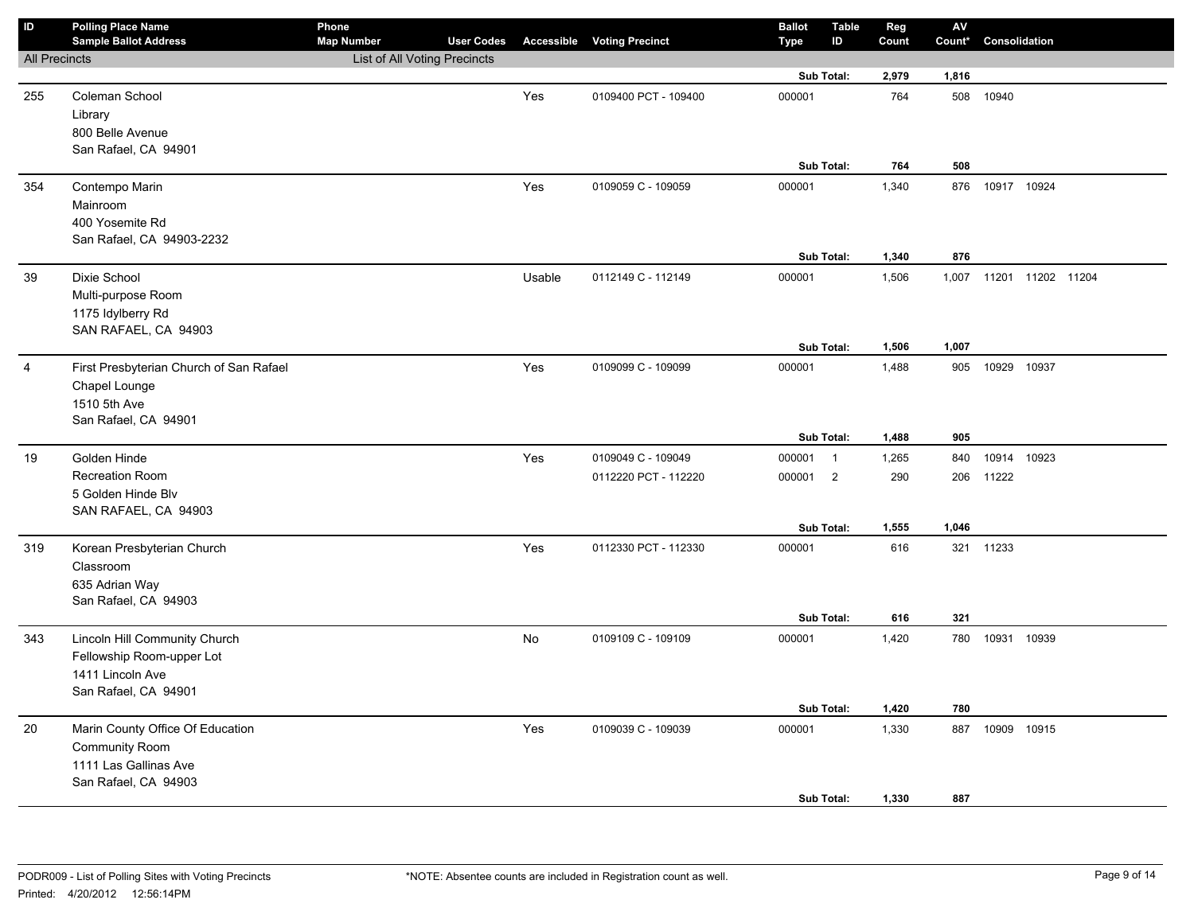| $\sf ID$             | <b>Polling Place Name</b><br><b>Sample Ballot Address</b> | Phone<br><b>Map Number</b>   | <b>User Codes</b> |           | <b>Accessible Voting Precinct</b> | <b>Ballot</b><br>Type | <b>Table</b><br>ID | Reg<br>Count | $\mathsf{AV}$<br>Count* | Consolidation           |       |  |
|----------------------|-----------------------------------------------------------|------------------------------|-------------------|-----------|-----------------------------------|-----------------------|--------------------|--------------|-------------------------|-------------------------|-------|--|
| <b>All Precincts</b> |                                                           | List of All Voting Precincts |                   |           |                                   |                       |                    |              |                         |                         |       |  |
|                      |                                                           |                              |                   |           |                                   |                       | Sub Total:         | 2,979        | 1,816                   |                         |       |  |
| 255                  | Coleman School                                            |                              |                   | Yes       | 0109400 PCT - 109400              | 000001                |                    | 764          |                         | 508 10940               |       |  |
|                      | Library                                                   |                              |                   |           |                                   |                       |                    |              |                         |                         |       |  |
|                      | 800 Belle Avenue                                          |                              |                   |           |                                   |                       |                    |              |                         |                         |       |  |
|                      | San Rafael, CA 94901                                      |                              |                   |           |                                   |                       |                    |              |                         |                         |       |  |
|                      |                                                           |                              |                   |           |                                   |                       | Sub Total:         | 764          | 508                     |                         |       |  |
| 354                  | Contempo Marin                                            |                              |                   | Yes       | 0109059 C - 109059                | 000001                |                    | 1,340        |                         | 876 10917 10924         |       |  |
|                      | Mainroom                                                  |                              |                   |           |                                   |                       |                    |              |                         |                         |       |  |
|                      | 400 Yosemite Rd                                           |                              |                   |           |                                   |                       |                    |              |                         |                         |       |  |
|                      | San Rafael, CA 94903-2232                                 |                              |                   |           |                                   |                       |                    |              |                         |                         |       |  |
|                      |                                                           |                              |                   |           |                                   |                       | Sub Total:         | 1,340        | 876                     |                         |       |  |
| 39                   | Dixie School                                              |                              |                   | Usable    | 0112149 C - 112149                | 000001                |                    | 1,506        |                         | 1,007 11201 11202 11204 |       |  |
|                      | Multi-purpose Room                                        |                              |                   |           |                                   |                       |                    |              |                         |                         |       |  |
|                      | 1175 Idylberry Rd                                         |                              |                   |           |                                   |                       |                    |              |                         |                         |       |  |
|                      | SAN RAFAEL, CA 94903                                      |                              |                   |           |                                   |                       | Sub Total:         | 1,506        | 1,007                   |                         |       |  |
|                      |                                                           |                              |                   |           |                                   |                       |                    |              |                         | 10929 10937             |       |  |
| 4                    | First Presbyterian Church of San Rafael                   |                              |                   | Yes       | 0109099 C - 109099                | 000001                |                    | 1,488        | 905                     |                         |       |  |
|                      | Chapel Lounge                                             |                              |                   |           |                                   |                       |                    |              |                         |                         |       |  |
|                      | 1510 5th Ave<br>San Rafael, CA 94901                      |                              |                   |           |                                   |                       |                    |              |                         |                         |       |  |
|                      |                                                           |                              |                   |           |                                   |                       | Sub Total:         | 1,488        | 905                     |                         |       |  |
| 19                   | Golden Hinde                                              |                              |                   | Yes       | 0109049 C - 109049                | 000001 1              |                    | 1,265        | 840                     | 10914 10923             |       |  |
|                      | <b>Recreation Room</b>                                    |                              |                   |           | 0112220 PCT - 112220              | 000001                | $\overline{2}$     | 290          | 206                     | 11222                   |       |  |
|                      | 5 Golden Hinde Blv                                        |                              |                   |           |                                   |                       |                    |              |                         |                         |       |  |
|                      | SAN RAFAEL, CA 94903                                      |                              |                   |           |                                   |                       |                    |              |                         |                         |       |  |
|                      |                                                           |                              |                   |           |                                   |                       | Sub Total:         | 1,555        | 1,046                   |                         |       |  |
| 319                  | Korean Presbyterian Church                                |                              |                   | Yes       | 0112330 PCT - 112330              | 000001                |                    | 616          |                         | 321 11233               |       |  |
|                      | Classroom                                                 |                              |                   |           |                                   |                       |                    |              |                         |                         |       |  |
|                      | 635 Adrian Way                                            |                              |                   |           |                                   |                       |                    |              |                         |                         |       |  |
|                      | San Rafael, CA 94903                                      |                              |                   |           |                                   |                       |                    |              |                         |                         |       |  |
|                      |                                                           |                              |                   |           |                                   |                       | Sub Total:         | 616          | 321                     |                         |       |  |
| 343                  | Lincoln Hill Community Church                             |                              |                   | <b>No</b> | 0109109 C - 109109                | 000001                |                    | 1,420        |                         | 780 10931 10939         |       |  |
|                      | Fellowship Room-upper Lot                                 |                              |                   |           |                                   |                       |                    |              |                         |                         |       |  |
|                      | 1411 Lincoln Ave                                          |                              |                   |           |                                   |                       |                    |              |                         |                         |       |  |
|                      | San Rafael, CA 94901                                      |                              |                   |           |                                   |                       |                    |              |                         |                         |       |  |
|                      |                                                           |                              |                   |           |                                   |                       | Sub Total:         | 1,420        | 780                     |                         |       |  |
| 20                   | Marin County Office Of Education                          |                              |                   | Yes       | 0109039 C - 109039                | 000001                |                    | 1,330        | 887                     | 10909                   | 10915 |  |
|                      | <b>Community Room</b>                                     |                              |                   |           |                                   |                       |                    |              |                         |                         |       |  |
|                      | 1111 Las Gallinas Ave                                     |                              |                   |           |                                   |                       |                    |              |                         |                         |       |  |
|                      | San Rafael, CA 94903                                      |                              |                   |           |                                   |                       |                    |              |                         |                         |       |  |
|                      |                                                           |                              |                   |           |                                   |                       | Sub Total:         | 1,330        | 887                     |                         |       |  |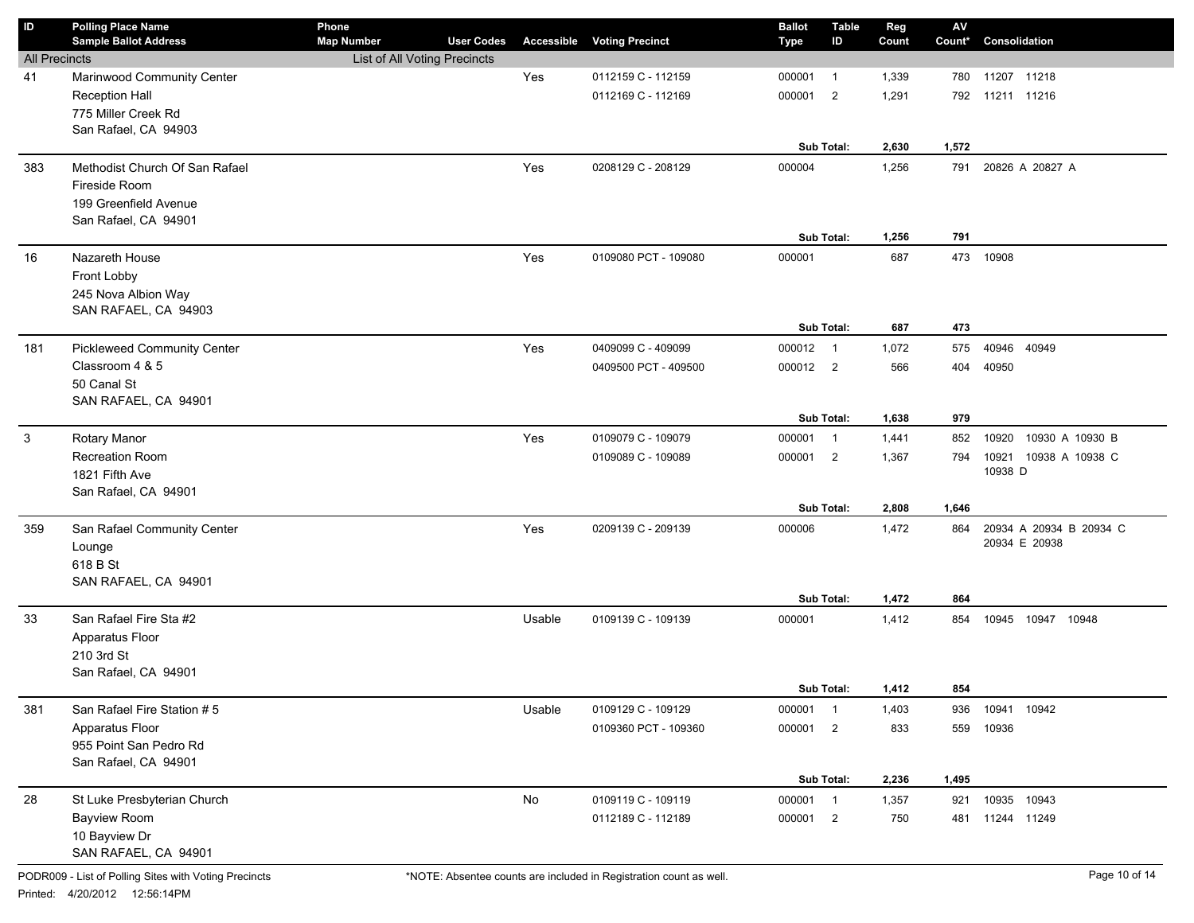| ID                   | <b>Polling Place Name</b><br><b>Sample Ballot Address</b> | Phone<br><b>Map Number</b>   | <b>User Codes</b> | Accessible | <b>Voting Precinct</b> | <b>Ballot</b><br>Type | <b>Table</b><br>ID | Reg<br>Count | $\mathsf{A}\mathsf{V}$<br>Count* | Consolidation            |
|----------------------|-----------------------------------------------------------|------------------------------|-------------------|------------|------------------------|-----------------------|--------------------|--------------|----------------------------------|--------------------------|
| <b>All Precincts</b> |                                                           | List of All Voting Precincts |                   |            |                        |                       |                    |              |                                  |                          |
| 41                   | Marinwood Community Center                                |                              |                   | Yes        | 0112159 C - 112159     | 000001                | $\overline{1}$     | 1,339        | 780                              | 11207 11218              |
|                      | <b>Reception Hall</b>                                     |                              |                   |            | 0112169 C - 112169     | 000001                | $\overline{2}$     | 1,291        |                                  | 792 11211 11216          |
|                      | 775 Miller Creek Rd                                       |                              |                   |            |                        |                       |                    |              |                                  |                          |
|                      | San Rafael, CA 94903                                      |                              |                   |            |                        |                       |                    |              |                                  |                          |
|                      |                                                           |                              |                   |            |                        |                       | Sub Total:         | 2,630        | 1,572                            |                          |
| 383                  | Methodist Church Of San Rafael                            |                              |                   | Yes        | 0208129 C - 208129     | 000004                |                    | 1,256        | 791                              | 20826 A 20827 A          |
|                      | Fireside Room                                             |                              |                   |            |                        |                       |                    |              |                                  |                          |
|                      | 199 Greenfield Avenue                                     |                              |                   |            |                        |                       |                    |              |                                  |                          |
|                      | San Rafael, CA 94901                                      |                              |                   |            |                        |                       |                    |              |                                  |                          |
|                      |                                                           |                              |                   |            |                        |                       | Sub Total:         | 1,256        | 791                              |                          |
| 16                   | Nazareth House                                            |                              |                   | Yes        | 0109080 PCT - 109080   | 000001                |                    | 687          | 473                              | 10908                    |
|                      | Front Lobby                                               |                              |                   |            |                        |                       |                    |              |                                  |                          |
|                      | 245 Nova Albion Way                                       |                              |                   |            |                        |                       |                    |              |                                  |                          |
|                      | SAN RAFAEL, CA 94903                                      |                              |                   |            |                        |                       | Sub Total:         | 687          | 473                              |                          |
| 181                  | <b>Pickleweed Community Center</b>                        |                              |                   | Yes        | 0409099 C - 409099     | 000012 1              |                    | 1,072        | 575                              | 40946 40949              |
|                      | Classroom 4 & 5                                           |                              |                   |            | 0409500 PCT - 409500   | 000012 2              |                    | 566          | 404                              | 40950                    |
|                      | 50 Canal St                                               |                              |                   |            |                        |                       |                    |              |                                  |                          |
|                      | SAN RAFAEL, CA 94901                                      |                              |                   |            |                        |                       |                    |              |                                  |                          |
|                      |                                                           |                              |                   |            |                        |                       | Sub Total:         | 1,638        | 979                              |                          |
| 3                    | Rotary Manor                                              |                              |                   | Yes        | 0109079 C - 109079     | 000001 1              |                    | 1,441        | 852                              | 10920<br>10930 A 10930 B |
|                      | Recreation Room                                           |                              |                   |            | 0109089 C - 109089     | 000001 2              |                    | 1,367        | 794                              | 10938 A 10938 C<br>10921 |
|                      | 1821 Fifth Ave                                            |                              |                   |            |                        |                       |                    |              |                                  | 10938 D                  |
|                      | San Rafael, CA 94901                                      |                              |                   |            |                        |                       |                    |              |                                  |                          |
|                      |                                                           |                              |                   |            |                        |                       | Sub Total:         | 2,808        | 1,646                            |                          |
| 359                  | San Rafael Community Center                               |                              |                   | Yes        | 0209139 C - 209139     | 000006                |                    | 1,472        | 864                              | 20934 A 20934 B 20934 C  |
|                      | Lounge                                                    |                              |                   |            |                        |                       |                    |              |                                  | 20934 E 20938            |
|                      | 618 B St                                                  |                              |                   |            |                        |                       |                    |              |                                  |                          |
|                      | SAN RAFAEL, CA 94901                                      |                              |                   |            |                        |                       |                    |              |                                  |                          |
|                      |                                                           |                              |                   |            |                        |                       | Sub Total:         | 1,472        | 864                              |                          |
| 33                   | San Rafael Fire Sta #2                                    |                              |                   | Usable     | 0109139 C - 109139     | 000001                |                    | 1,412        | 854                              | 10945 10947 10948        |
|                      | Apparatus Floor                                           |                              |                   |            |                        |                       |                    |              |                                  |                          |
|                      | 210 3rd St                                                |                              |                   |            |                        |                       |                    |              |                                  |                          |
|                      | San Rafael, CA 94901                                      |                              |                   |            |                        |                       |                    |              |                                  |                          |
|                      |                                                           |                              |                   |            |                        |                       | Sub Total:         | 1,412        | 854                              | 10941 10942              |
| 381                  | San Rafael Fire Station # 5                               |                              |                   | Usable     | 0109129 C - 109129     | 000001 1              |                    | 1,403        | 936                              |                          |
|                      | Apparatus Floor<br>955 Point San Pedro Rd                 |                              |                   |            | 0109360 PCT - 109360   | 000001 2              |                    | 833          | 559                              | 10936                    |
|                      | San Rafael, CA 94901                                      |                              |                   |            |                        |                       |                    |              |                                  |                          |
|                      |                                                           |                              |                   |            |                        |                       | Sub Total:         | 2,236        | 1,495                            |                          |
| 28                   | St Luke Presbyterian Church                               |                              |                   | No         | 0109119 C - 109119     | 000001 1              |                    | 1,357        | 921                              | 10935 10943              |
|                      | Bayview Room                                              |                              |                   |            | 0112189 C - 112189     | 000001 2              |                    | 750          | 481                              | 11244 11249              |
|                      | 10 Bayview Dr                                             |                              |                   |            |                        |                       |                    |              |                                  |                          |
|                      | SAN RAFAEL, CA 94901                                      |                              |                   |            |                        |                       |                    |              |                                  |                          |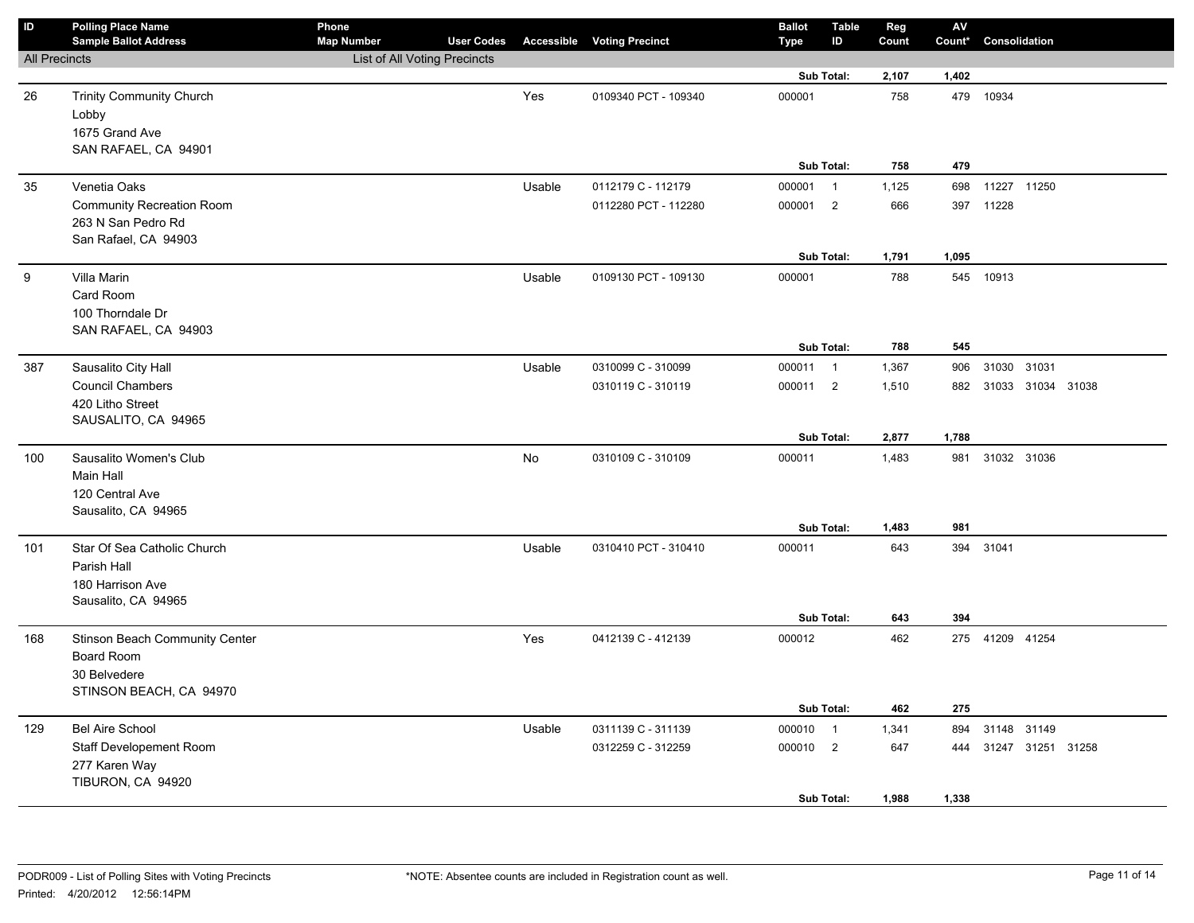| $\mathsf{ID}$        | <b>Polling Place Name</b><br><b>Sample Ballot Address</b> | Phone<br><b>Map Number</b>   | <b>User Codes</b> |        | <b>Accessible Voting Precinct</b> | <b>Ballot</b><br>Type | <b>Table</b><br>ID | Reg<br>Count | ${\sf AV}$<br>Count* | Consolidation         |  |  |
|----------------------|-----------------------------------------------------------|------------------------------|-------------------|--------|-----------------------------------|-----------------------|--------------------|--------------|----------------------|-----------------------|--|--|
| <b>All Precincts</b> |                                                           | List of All Voting Precincts |                   |        |                                   |                       |                    |              |                      |                       |  |  |
|                      |                                                           |                              |                   |        |                                   |                       | Sub Total:         | 2,107        | 1,402                |                       |  |  |
| 26                   | <b>Trinity Community Church</b>                           |                              |                   | Yes    | 0109340 PCT - 109340              | 000001                |                    | 758          |                      | 479 10934             |  |  |
|                      | Lobby                                                     |                              |                   |        |                                   |                       |                    |              |                      |                       |  |  |
|                      | 1675 Grand Ave                                            |                              |                   |        |                                   |                       |                    |              |                      |                       |  |  |
|                      | SAN RAFAEL, CA 94901                                      |                              |                   |        |                                   |                       |                    |              |                      |                       |  |  |
|                      |                                                           |                              |                   |        |                                   |                       | Sub Total:         | 758          | 479                  |                       |  |  |
| 35                   | Venetia Oaks                                              |                              |                   | Usable | 0112179 C - 112179                | 000001                | $\overline{1}$     | 1,125        | 698                  | 11227 11250           |  |  |
|                      | <b>Community Recreation Room</b>                          |                              |                   |        | 0112280 PCT - 112280              | 000001 2              |                    | 666          | 397                  | 11228                 |  |  |
|                      | 263 N San Pedro Rd                                        |                              |                   |        |                                   |                       |                    |              |                      |                       |  |  |
|                      | San Rafael, CA 94903                                      |                              |                   |        |                                   |                       |                    |              |                      |                       |  |  |
|                      |                                                           |                              |                   |        |                                   |                       | Sub Total:         | 1,791        | 1,095                |                       |  |  |
| 9                    | Villa Marin                                               |                              |                   | Usable | 0109130 PCT - 109130              | 000001                |                    | 788          |                      | 545 10913             |  |  |
|                      | Card Room                                                 |                              |                   |        |                                   |                       |                    |              |                      |                       |  |  |
|                      | 100 Thorndale Dr                                          |                              |                   |        |                                   |                       |                    |              |                      |                       |  |  |
|                      | SAN RAFAEL, CA 94903                                      |                              |                   |        |                                   |                       |                    |              |                      |                       |  |  |
|                      |                                                           |                              |                   |        |                                   |                       | Sub Total:         | 788          | 545                  |                       |  |  |
| 387                  | Sausalito City Hall                                       |                              |                   | Usable | 0310099 C - 310099                | 000011 1              |                    | 1,367        | 906                  | 31030 31031           |  |  |
|                      | <b>Council Chambers</b>                                   |                              |                   |        | 0310119 C - 310119                | 000011 2              |                    | 1,510        |                      | 882 31033 31034 31038 |  |  |
|                      | 420 Litho Street                                          |                              |                   |        |                                   |                       |                    |              |                      |                       |  |  |
|                      | SAUSALITO, CA 94965                                       |                              |                   |        |                                   |                       | Sub Total:         | 2,877        | 1,788                |                       |  |  |
|                      |                                                           |                              |                   |        |                                   |                       |                    |              |                      |                       |  |  |
| 100                  | Sausalito Women's Club                                    |                              |                   | No     | 0310109 C - 310109                | 000011                |                    | 1,483        | 981                  | 31032 31036           |  |  |
|                      | Main Hall                                                 |                              |                   |        |                                   |                       |                    |              |                      |                       |  |  |
|                      | 120 Central Ave<br>Sausalito, CA 94965                    |                              |                   |        |                                   |                       |                    |              |                      |                       |  |  |
|                      |                                                           |                              |                   |        |                                   |                       | Sub Total:         | 1,483        | 981                  |                       |  |  |
| 101                  | Star Of Sea Catholic Church                               |                              |                   | Usable | 0310410 PCT - 310410              | 000011                |                    | 643          | 394                  | 31041                 |  |  |
|                      | Parish Hall                                               |                              |                   |        |                                   |                       |                    |              |                      |                       |  |  |
|                      | 180 Harrison Ave                                          |                              |                   |        |                                   |                       |                    |              |                      |                       |  |  |
|                      | Sausalito, CA 94965                                       |                              |                   |        |                                   |                       |                    |              |                      |                       |  |  |
|                      |                                                           |                              |                   |        |                                   |                       | Sub Total:         | 643          | 394                  |                       |  |  |
| 168                  | <b>Stinson Beach Community Center</b>                     |                              |                   | Yes    | 0412139 C - 412139                | 000012                |                    | 462          |                      | 275 41209 41254       |  |  |
|                      | <b>Board Room</b>                                         |                              |                   |        |                                   |                       |                    |              |                      |                       |  |  |
|                      | 30 Belvedere                                              |                              |                   |        |                                   |                       |                    |              |                      |                       |  |  |
|                      | STINSON BEACH, CA 94970                                   |                              |                   |        |                                   |                       |                    |              |                      |                       |  |  |
|                      |                                                           |                              |                   |        |                                   |                       | Sub Total:         | 462          | 275                  |                       |  |  |
| 129                  | <b>Bel Aire School</b>                                    |                              |                   | Usable | 0311139 C - 311139                | 000010                | $\overline{1}$     | 1,341        | 894                  | 31148 31149           |  |  |
|                      | Staff Developement Room                                   |                              |                   |        | 0312259 C - 312259                | 000010 2              |                    | 647          | 444                  | 31247 31251 31258     |  |  |
|                      | 277 Karen Way                                             |                              |                   |        |                                   |                       |                    |              |                      |                       |  |  |
|                      | TIBURON, CA 94920                                         |                              |                   |        |                                   |                       |                    |              |                      |                       |  |  |
|                      |                                                           |                              |                   |        |                                   |                       | Sub Total:         | 1,988        | 1,338                |                       |  |  |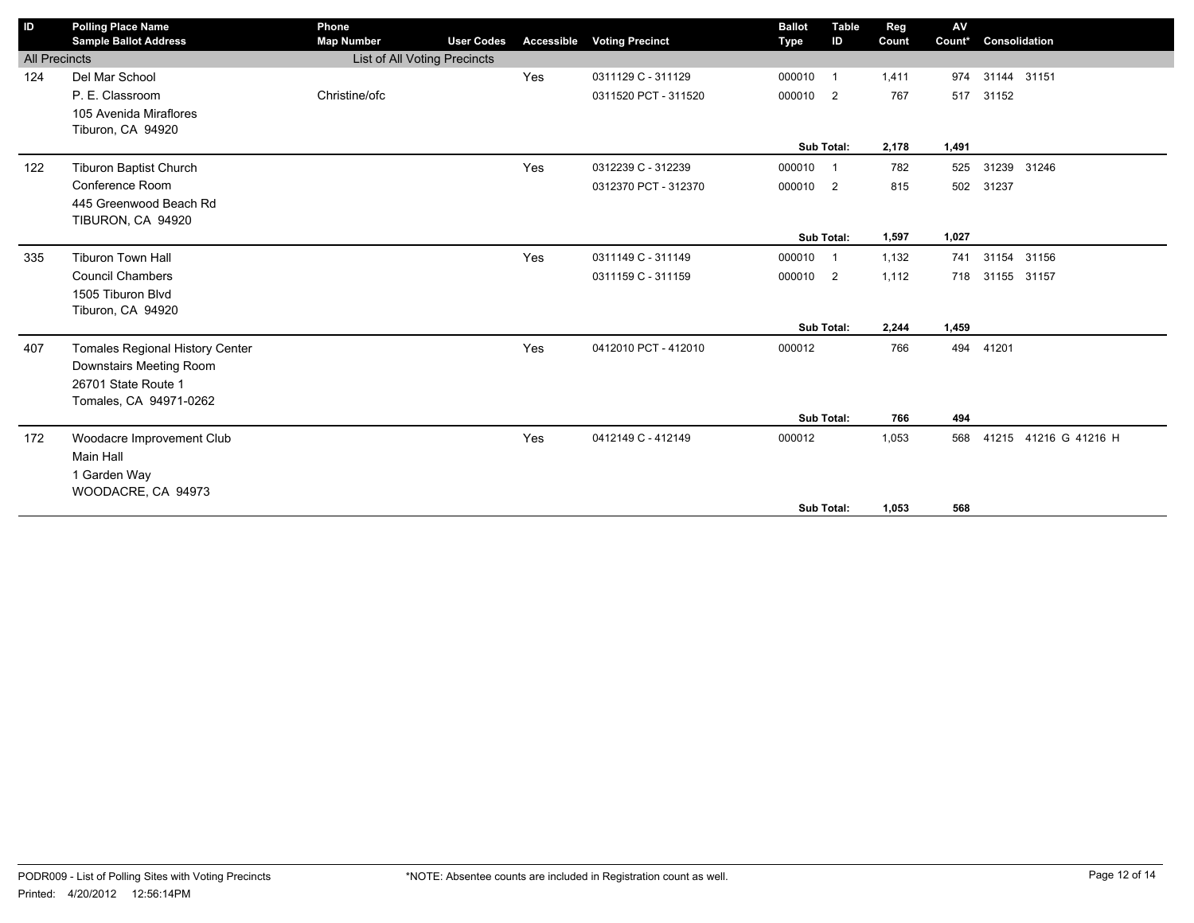| ID                   | <b>Polling Place Name</b><br><b>Sample Ballot Address</b> | Phone<br><b>Map Number</b>   | <b>User Codes</b> | <b>Accessible</b> | <b>Voting Precinct</b> | <b>Ballot</b><br><b>Type</b> | <b>Table</b><br>ID | Reg<br>Count | AV<br>Count* | Consolidation         |  |
|----------------------|-----------------------------------------------------------|------------------------------|-------------------|-------------------|------------------------|------------------------------|--------------------|--------------|--------------|-----------------------|--|
| <b>All Precincts</b> |                                                           | List of All Voting Precincts |                   |                   |                        |                              |                    |              |              |                       |  |
| 124                  | Del Mar School                                            |                              |                   | Yes               | 0311129 C - 311129     | 000010                       | $\overline{1}$     | 1,411        | 974          | 31144 31151           |  |
|                      | P. E. Classroom                                           | Christine/ofc                |                   |                   | 0311520 PCT - 311520   | 000010 2                     |                    | 767          | 517          | 31152                 |  |
|                      | 105 Avenida Miraflores                                    |                              |                   |                   |                        |                              |                    |              |              |                       |  |
|                      | Tiburon, CA 94920                                         |                              |                   |                   |                        |                              |                    |              |              |                       |  |
|                      |                                                           |                              |                   |                   |                        |                              | Sub Total:         | 2,178        | 1,491        |                       |  |
| 122                  | Tiburon Baptist Church                                    |                              |                   | Yes               | 0312239 C - 312239     | 000010                       | $\overline{1}$     | 782          | 525          | 31239 31246           |  |
|                      | Conference Room                                           |                              |                   |                   | 0312370 PCT - 312370   | 000010 2                     |                    | 815          | 502          | 31237                 |  |
|                      | 445 Greenwood Beach Rd                                    |                              |                   |                   |                        |                              |                    |              |              |                       |  |
|                      | TIBURON, CA 94920                                         |                              |                   |                   |                        |                              |                    |              |              |                       |  |
|                      |                                                           |                              |                   |                   |                        |                              | Sub Total:         | 1,597        | 1,027        |                       |  |
| 335                  | <b>Tiburon Town Hall</b>                                  |                              |                   | Yes               | 0311149 C - 311149     | 000010                       | $\overline{1}$     | 1,132        | 741          | 31154 31156           |  |
|                      | <b>Council Chambers</b>                                   |                              |                   |                   | 0311159 C - 311159     | 000010 2                     |                    | 1,112        |              | 718 31155 31157       |  |
|                      | 1505 Tiburon Blvd                                         |                              |                   |                   |                        |                              |                    |              |              |                       |  |
|                      | Tiburon, CA 94920                                         |                              |                   |                   |                        |                              |                    |              |              |                       |  |
|                      |                                                           |                              |                   |                   |                        |                              | Sub Total:         | 2,244        | 1,459        |                       |  |
| 407                  | Tomales Regional History Center                           |                              |                   | Yes               | 0412010 PCT - 412010   | 000012                       |                    | 766          | 494          | 41201                 |  |
|                      | Downstairs Meeting Room                                   |                              |                   |                   |                        |                              |                    |              |              |                       |  |
|                      | 26701 State Route 1                                       |                              |                   |                   |                        |                              |                    |              |              |                       |  |
|                      | Tomales, CA 94971-0262                                    |                              |                   |                   |                        |                              |                    |              |              |                       |  |
|                      |                                                           |                              |                   |                   |                        |                              | Sub Total:         | 766          | 494          |                       |  |
| 172                  | Woodacre Improvement Club                                 |                              |                   | Yes               | 0412149 C - 412149     | 000012                       |                    | 1,053        | 568          | 41215 41216 G 41216 H |  |
|                      | Main Hall                                                 |                              |                   |                   |                        |                              |                    |              |              |                       |  |
|                      | 1 Garden Way                                              |                              |                   |                   |                        |                              |                    |              |              |                       |  |
|                      | WOODACRE, CA 94973                                        |                              |                   |                   |                        |                              |                    |              |              |                       |  |
|                      |                                                           |                              |                   |                   |                        |                              | Sub Total:         | 1.053        | 568          |                       |  |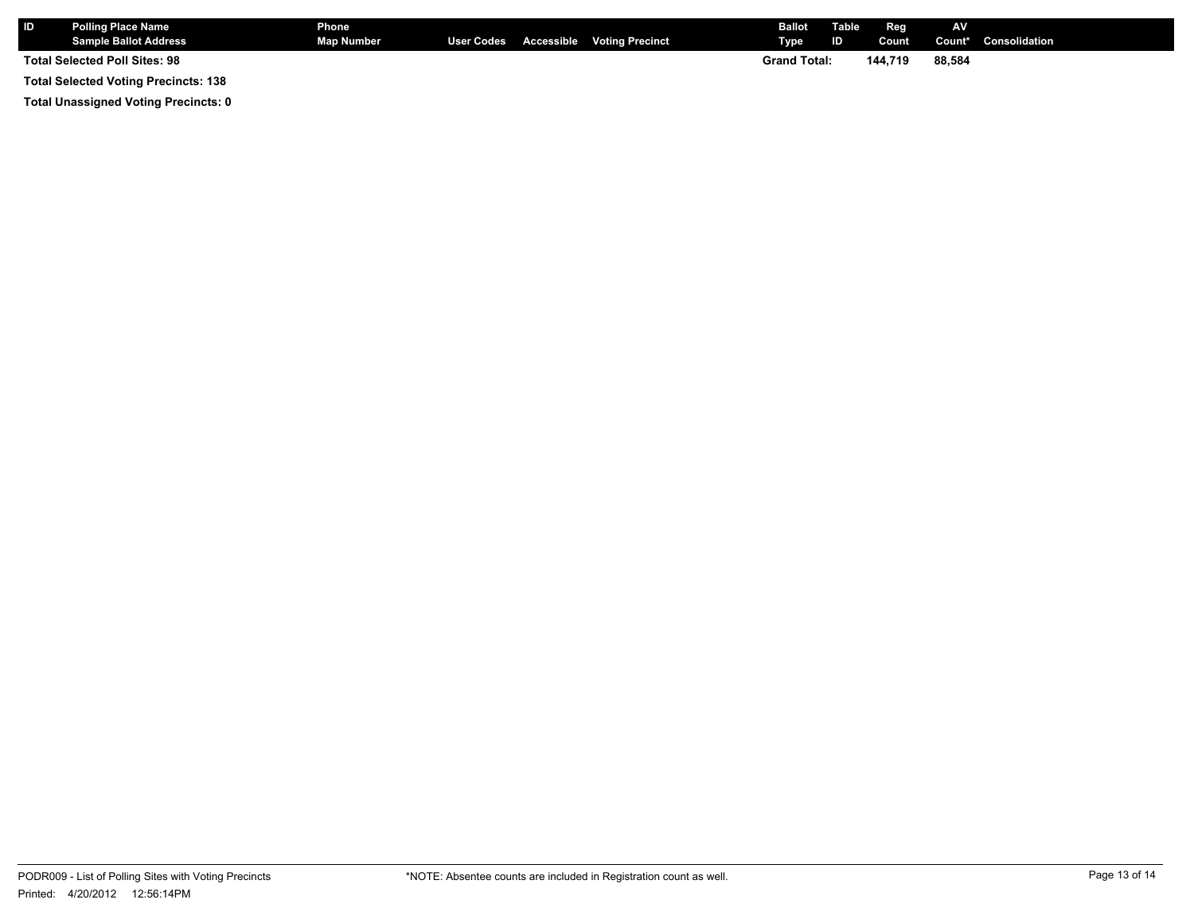| <b>ID</b>                                   | <b>Polling Place Name</b><br><b>Sample Ballot Address</b> | Phone<br>Map Number |  |                     | User Codes Accessible Voting Precinct | <b>Ballot</b> Table<br>Type | ID     | <b>Reg</b><br>Count | <b>AV</b> | <b>Count*</b> Consolidation |
|---------------------------------------------|-----------------------------------------------------------|---------------------|--|---------------------|---------------------------------------|-----------------------------|--------|---------------------|-----------|-----------------------------|
| <b>Total Selected Poll Sites: 98</b>        |                                                           |                     |  | <b>Grand Total:</b> |                                       | 144.719                     | 88.584 |                     |           |                             |
| <b>Total Selected Voting Precincts: 138</b> |                                                           |                     |  |                     |                                       |                             |        |                     |           |                             |

**Total Unassigned Voting Precincts: 0**